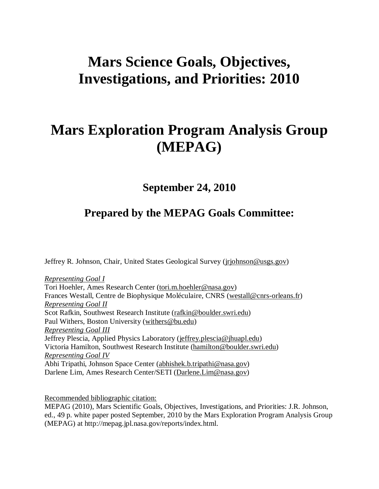# **Mars Science Goals, Objectives, Investigations, and Priorities: 2010**

# **Mars Exploration Program Analysis Group (MEPAG)**

**September 24, 2010** 

# **Prepared by the MEPAG Goals Committee:**

Jeffrey R. Johnson, Chair, United States Geological Survey (jrjohnson@usgs.gov)

*Representing Goal I* Tori Hoehler, Ames Research Center (tori.m.hoehler@nasa.gov) Frances Westall, Centre de Biophysique Moléculaire, CNRS (westall@cnrs-orleans.fr) *Representing Goal II* Scot Rafkin, Southwest Research Institute (rafkin@boulder.swri.edu) Paul Withers, Boston University (withers@bu.edu) *Representing Goal III*  Jeffrey Plescia, Applied Physics Laboratory (jeffrey.plescia@jhuapl.edu) Victoria Hamilton, Southwest Research Institute (hamilton@boulder.swri.edu) *Representing Goal IV* Abhi Tripathi, Johnson Space Center (abhishek.b.tripathi@nasa.gov) Darlene Lim, Ames Research Center/SETI (Darlene.Lim@nasa.gov)

Recommended bibliographic citation:

MEPAG (2010), Mars Scientific Goals, Objectives, Investigations, and Priorities: J.R. Johnson, ed., 49 p. white paper posted September, 2010 by the Mars Exploration Program Analysis Group (MEPAG) at http://mepag.jpl.nasa.gov/reports/index.html.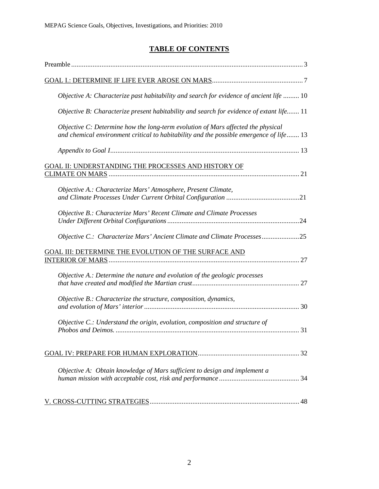# **TABLE OF CONTENTS**

| Objective A: Characterize past habitability and search for evidence of ancient life  10                                                                                     |
|-----------------------------------------------------------------------------------------------------------------------------------------------------------------------------|
| Objective B: Characterize present habitability and search for evidence of extant life 11                                                                                    |
| Objective C: Determine how the long-term evolution of Mars affected the physical<br>and chemical environment critical to habitability and the possible emergence of life 13 |
|                                                                                                                                                                             |
| <b>GOAL II: UNDERSTANDING THE PROCESSES AND HISTORY OF</b>                                                                                                                  |
| Objective A.: Characterize Mars' Atmosphere, Present Climate,                                                                                                               |
| Objective B.: Characterize Mars' Recent Climate and Climate Processes                                                                                                       |
| Objective C.: Characterize Mars' Ancient Climate and Climate Processes25                                                                                                    |
| GOAL III: DETERMINE THE EVOLUTION OF THE SURFACE AND                                                                                                                        |
| Objective A.: Determine the nature and evolution of the geologic processes                                                                                                  |
| Objective B.: Characterize the structure, composition, dynamics,                                                                                                            |
| Objective C.: Understand the origin, evolution, composition and structure of                                                                                                |
| 32                                                                                                                                                                          |
| Objective A: Obtain knowledge of Mars sufficient to design and implement a                                                                                                  |
| 48                                                                                                                                                                          |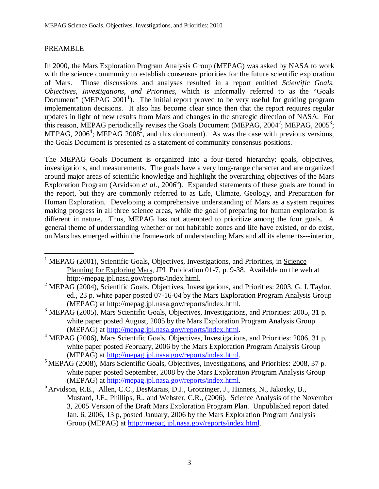#### PREAMBLE

In 2000, the Mars Exploration Program Analysis Group (MEPAG) was asked by NASA to work with the science community to establish consensus priorities for the future scientific exploration of Mars. Those discussions and analyses resulted in a report entitled *Scientific Goals, Objectives, Investigations, and Priorities*, which is informally referred to as the "Goals Document" (MEPAG 2001<sup>1</sup>). The initial report proved to be very useful for guiding program implementation decisions. It also has become clear since then that the report requires regular updates in light of new results from Mars and changes in the strategic direction of NASA. For this reason, MEPAG periodically revises the Goals Document (MEPAG,  $2004^2$ ; MEPAG,  $2005^3$ ; MEPAG,  $2006^4$ ; MEPAG  $2008^5$ , and this document). As was the case with previous versions, the Goals Document is presented as a statement of community consensus positions.

The MEPAG Goals Document is organized into a four-tiered hierarchy: goals, objectives, investigations, and measurements. The goals have a very long-range character and are organized around major areas of scientific knowledge and highlight the overarching objectives of the Mars Exploration Program (Arvidson *et al.*, 2006<sup>6</sup>). Expanded statements of these goals are found in the report, but they are commonly referred to as Life, Climate, Geology, and Preparation for Human Exploration. Developing a comprehensive understanding of Mars as a system requires making progress in all three science areas, while the goal of preparing for human exploration is different in nature. Thus, MEPAG has not attempted to prioritize among the four goals. A general theme of understanding whether or not habitable zones and life have existed, or do exist, on Mars has emerged within the framework of understanding Mars and all its elements---interior,

- $2^2$  MEPAG (2004), Scientific Goals, Objectives, Investigations, and Priorities: 2003, G. J. Taylor, ed., 23 p. white paper posted 07-16-04 by the Mars Exploration Program Analysis Group (MEPAG) at http://mepag.jpl.nasa.gov/reports/index.html.
- <sup>3</sup> MEPAG (2005), Mars Scientific Goals, Objectives, Investigations, and Priorities: 2005, 31 p. white paper posted August, 2005 by the Mars Exploration Program Analysis Group (MEPAG) at http://mepag.jpl.nasa.gov/reports/index.html.
- <sup>4</sup> MEPAG (2006), Mars Scientific Goals, Objectives, Investigations, and Priorities: 2006, 31 p. white paper posted February, 2006 by the Mars Exploration Program Analysis Group (MEPAG) at http://mepag.jpl.nasa.gov/reports/index.html.
- <sup>5</sup> MEPAG (2008), Mars Scientific Goals, Objectives, Investigations, and Priorities: 2008, 37 p. white paper posted September, 2008 by the Mars Exploration Program Analysis Group (MEPAG) at http://mepag.jpl.nasa.gov/reports/index.html.

<sup>&</sup>lt;sup>1</sup> MEPAG (2001), Scientific Goals, Objectives, Investigations, and Priorities, in <u>Science</u> Planning for Exploring Mars, JPL Publication 01-7, p. 9-38. Available on the web at http://mepag.jpl.nasa.gov/reports/index.html.

<sup>&</sup>lt;sup>6</sup> Arvidson, R.E., Allen, C.C., DesMarais, D.J., Grotzinger, J., Hinners, N., Jakosky, B., Mustard, J.F., Phillips, R., and Webster, C.R., (2006). Science Analysis of the November 3, 2005 Version of the Draft Mars Exploration Program Plan. Unpublished report dated Jan. 6, 2006, 13 p, posted January, 2006 by the Mars Exploration Program Analysis Group (MEPAG) at http://mepag.jpl.nasa.gov/reports/index.html.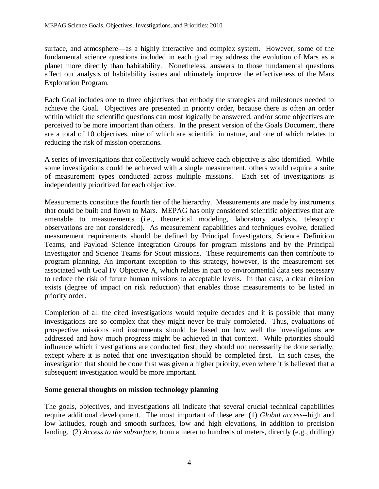surface, and atmosphere—as a highly interactive and complex system. However, some of the fundamental science questions included in each goal may address the evolution of Mars as a planet more directly than habitability. Nonetheless, answers to those fundamental questions affect our analysis of habitability issues and ultimately improve the effectiveness of the Mars Exploration Program.

Each Goal includes one to three objectives that embody the strategies and milestones needed to achieve the Goal. Objectives are presented in priority order, because there is often an order within which the scientific questions can most logically be answered, and/or some objectives are perceived to be more important than others. In the present version of the Goals Document, there are a total of 10 objectives, nine of which are scientific in nature, and one of which relates to reducing the risk of mission operations.

A series of investigations that collectively would achieve each objective is also identified. While some investigations could be achieved with a single measurement, others would require a suite of measurement types conducted across multiple missions. Each set of investigations is independently prioritized for each objective.

Measurements constitute the fourth tier of the hierarchy. Measurements are made by instruments that could be built and flown to Mars. MEPAG has only considered scientific objectives that are amenable to measurements (i.e., theoretical modeling, laboratory analysis, telescopic observations are not considered). As measurement capabilities and techniques evolve, detailed measurement requirements should be defined by Principal Investigators, Science Definition Teams, and Payload Science Integration Groups for program missions and by the Principal Investigator and Science Teams for Scout missions. These requirements can then contribute to program planning. An important exception to this strategy, however, is the measurement set associated with Goal IV Objective A, which relates in part to environmental data sets necessary to reduce the risk of future human missions to acceptable levels. In that case, a clear criterion exists (degree of impact on risk reduction) that enables those measurements to be listed in priority order.

Completion of all the cited investigations would require decades and it is possible that many investigations are so complex that they might never be truly completed. Thus, evaluations of prospective missions and instruments should be based on how well the investigations are addressed and how much progress might be achieved in that context. While priorities should influence which investigations are conducted first, they should not necessarily be done serially, except where it is noted that one investigation should be completed first. In such cases, the investigation that should be done first was given a higher priority, even where it is believed that a subsequent investigation would be more important.

#### **Some general thoughts on mission technology planning**

The goals, objectives, and investigations all indicate that several crucial technical capabilities require additional development. The most important of these are: (1) *Global access*--high and low latitudes, rough and smooth surfaces, low and high elevations, in addition to precision landing. (2) *Access to the subsurface*, from a meter to hundreds of meters, directly (e.g., drilling)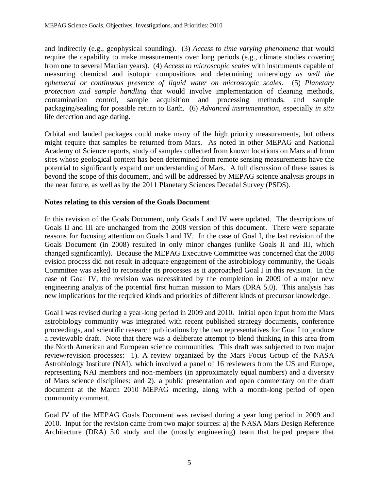and indirectly (e.g., geophysical sounding). (3) *Access to time varying phenomena* that would require the capability to make measurements over long periods (e.g., climate studies covering from one to several Martian years). (4) *Access to microscopic scales* with instruments capable of measuring chemical and isotopic compositions and determining mineralogy *as well the ephemeral or continuous presence of liquid water on microscopic scales*. (5) *Planetary protection and sample handling* that would involve implementation of cleaning methods, contamination control, sample acquisition and processing methods, and sample packaging/sealing for possible return to Earth. (6) *Advanced instrumentation*, especially *in situ* life detection and age dating.

Orbital and landed packages could make many of the high priority measurements, but others might require that samples be returned from Mars. As noted in other MEPAG and National Academy of Science reports, study of samples collected from known locations on Mars and from sites whose geological context has been determined from remote sensing measurements have the potential to significantly expand our understanding of Mars. A full discussion of these issues is beyond the scope of this document, and will be addressed by MEPAG science analysis groups in the near future, as well as by the 2011 Planetary Sciences Decadal Survey (PSDS).

#### **Notes relating to this version of the Goals Document**

In this revision of the Goals Document, only Goals I and IV were updated. The descriptions of Goals II and III are unchanged from the 2008 version of this document. There were separate reasons for focusing attention on Goals I and IV. In the case of Goal I, the last revision of the Goals Document (in 2008) resulted in only minor changes (unlike Goals II and III, which changed significantly). Because the MEPAG Executive Committee was concerned that the 2008 evision process did not result in adequate engagement of the astrobiology community, the Goals Committee was asked to reconsider its processes as it approached Goal I in this revision. In the case of Goal IV, the revision was necessitated by the completion in 2009 of a major new engineering analyis of the potential first human mission to Mars (DRA 5.0). This analysis has new implications for the required kinds and priorities of different kinds of precursor knowledge.

Goal I was revised during a year-long period in 2009 and 2010. Initial open input from the Mars astrobiology community was integrated with recent published strategy documents, conference proceedings, and scientific research publications by the two representatives for Goal I to produce a reviewable draft. Note that there was a deliberate attempt to blend thinking in this area from the North American and European science communities. This draft was subjected to two major review/revision processes: 1). A review organized by the Mars Focus Group of the NASA Astrobiology Institute (NAI), which involved a panel of 16 reviewers from the US and Europe, representing NAI members and non-members (in approximately equal numbers) and a diversity of Mars science disciplines; and 2). a public presentation and open commentary on the draft document at the March 2010 MEPAG meeting, along with a month-long period of open community comment.

Goal IV of the MEPAG Goals Document was revised during a year long period in 2009 and 2010. Input for the revision came from two major sources: a) the NASA Mars Design Reference Architecture (DRA) 5.0 study and the (mostly engineering) team that helped prepare that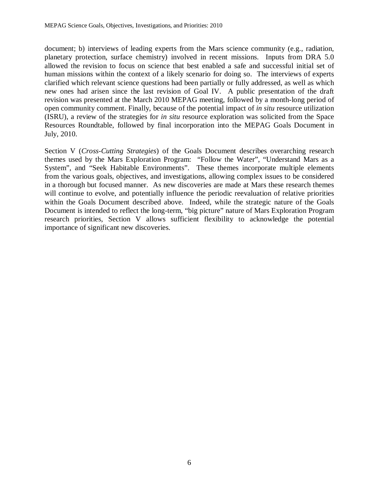document; b) interviews of leading experts from the Mars science community (e.g., radiation, planetary protection, surface chemistry) involved in recent missions. Inputs from DRA 5.0 allowed the revision to focus on science that best enabled a safe and successful initial set of human missions within the context of a likely scenario for doing so. The interviews of experts clarified which relevant science questions had been partially or fully addressed, as well as which new ones had arisen since the last revision of Goal IV. A public presentation of the draft revision was presented at the March 2010 MEPAG meeting, followed by a month-long period of open community comment. Finally, because of the potential impact of *in situ* resource utilization (ISRU), a review of the strategies for *in situ* resource exploration was solicited from the Space Resources Roundtable, followed by final incorporation into the MEPAG Goals Document in July, 2010.

Section V (*Cross-Cutting Strategies*) of the Goals Document describes overarching research themes used by the Mars Exploration Program: "Follow the Water", "Understand Mars as a System", and "Seek Habitable Environments". These themes incorporate multiple elements from the various goals, objectives, and investigations, allowing complex issues to be considered in a thorough but focused manner. As new discoveries are made at Mars these research themes will continue to evolve, and potentially influence the periodic reevaluation of relative priorities within the Goals Document described above. Indeed, while the strategic nature of the Goals Document is intended to reflect the long-term, "big picture" nature of Mars Exploration Program research priorities, Section V allows sufficient flexibility to acknowledge the potential importance of significant new discoveries.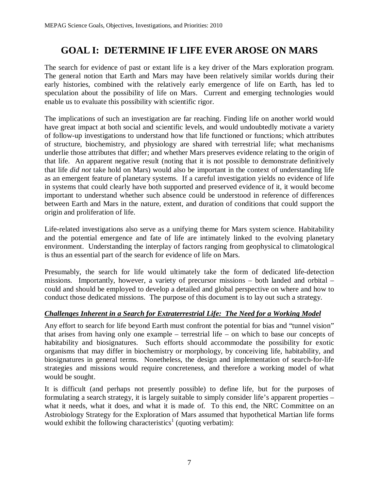# **GOAL I: DETERMINE IF LIFE EVER AROSE ON MARS**

The search for evidence of past or extant life is a key driver of the Mars exploration program. The general notion that Earth and Mars may have been relatively similar worlds during their early histories, combined with the relatively early emergence of life on Earth, has led to speculation about the possibility of life on Mars. Current and emerging technologies would enable us to evaluate this possibility with scientific rigor.

The implications of such an investigation are far reaching. Finding life on another world would have great impact at both social and scientific levels, and would undoubtedly motivate a variety of follow-up investigations to understand how that life functioned or functions; which attributes of structure, biochemistry, and physiology are shared with terrestrial life; what mechanisms underlie those attributes that differ; and whether Mars preserves evidence relating to the origin of that life. An apparent negative result (noting that it is not possible to demonstrate definitively that life *did not* take hold on Mars) would also be important in the context of understanding life as an emergent feature of planetary systems. If a careful investigation yields no evidence of life in systems that could clearly have both supported and preserved evidence of it, it would become important to understand whether such absence could be understood in reference of differences between Earth and Mars in the nature, extent, and duration of conditions that could support the origin and proliferation of life.

Life-related investigations also serve as a unifying theme for Mars system science. Habitability and the potential emergence and fate of life are intimately linked to the evolving planetary environment. Understanding the interplay of factors ranging from geophysical to climatological is thus an essential part of the search for evidence of life on Mars.

Presumably, the search for life would ultimately take the form of dedicated life-detection missions. Importantly, however, a variety of precursor missions – both landed and orbital – could and should be employed to develop a detailed and global perspective on where and how to conduct those dedicated missions. The purpose of this document is to lay out such a strategy.

## *Challenges Inherent in a Search for Extraterrestrial Life: The Need for a Working Model*

Any effort to search for life beyond Earth must confront the potential for bias and "tunnel vision" that arises from having only one example – terrestrial life – on which to base our concepts of habitability and biosignatures. Such efforts should accommodate the possibility for exotic organisms that may differ in biochemistry or morphology, by conceiving life, habitability, and biosignatures in general terms. Nonetheless, the design and implementation of search-for-life strategies and missions would require concreteness, and therefore a working model of what would be sought.

It is difficult (and perhaps not presently possible) to define life, but for the purposes of formulating a search strategy, it is largely suitable to simply consider life's apparent properties – what it needs, what it does, and what it is made of. To this end, the NRC Committee on an Astrobiology Strategy for the Exploration of Mars assumed that hypothetical Martian life forms would exhibit the following characteristics<sup>1</sup> (quoting verbatim):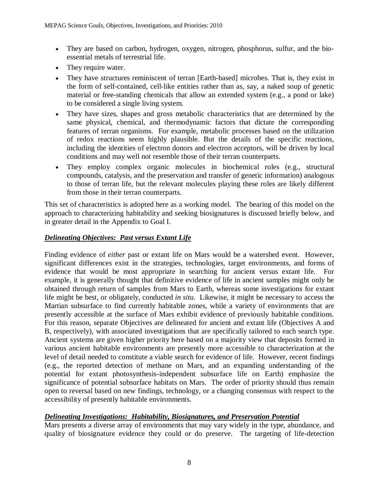- They are based on carbon, hydrogen, oxygen, nitrogen, phosphorus, sulfur, and the bioessential metals of terrestrial life.
- They require water.
- They have structures reminiscent of terran [Earth-based] microbes. That is, they exist in the form of self-contained, cell-like entities rather than as, say, a naked soup of genetic material or free-standing chemicals that allow an extended system (e.g., a pond or lake) to be considered a single living system.
- They have sizes, shapes and gross metabolic characteristics that are determined by the same physical, chemical, and thermodynamic factors that dictate the corresponding features of terran organisms. For example, metabolic processes based on the utilization of redox reactions seem highly plausible. But the details of the specific reactions, including the identities of electron donors and electron acceptors, will be driven by local conditions and may well not resemble those of their terran counterparts.
- They employ complex organic molecules in biochemical roles (e.g., structural compounds, catalysis, and the preservation and transfer of genetic information) analogous to those of terran life, but the relevant molecules playing these roles are likely different from those in their terran counterparts.

This set of characteristics is adopted here as a working model. The bearing of this model on the approach to characterizing habitability and seeking biosignatures is discussed briefly below, and in greater detail in the Appendix to Goal I.

#### *Delineating Objectives: Past versus Extant Life*

Finding evidence of *either* past or extant life on Mars would be a watershed event. However, significant differences exist in the strategies, technologies, target environments, and forms of evidence that would be most appropriate in searching for ancient versus extant life. For example, it is generally thought that definitive evidence of life in ancient samples might only be obtained through return of samples from Mars to Earth, whereas some investigations for extant life might be best, or obligately, conducted *in situ*. Likewise, it might be necessary to access the Martian subsurface to find currently habitable zones, while a variety of environments that are presently accessible at the surface of Mars exhibit evidence of previously habitable conditions. For this reason, separate Objectives are delineated for ancient and extant life (Objectives A and B, respectively), with associated investigations that are specifically tailored to each search type. Ancient systems are given higher priority here based on a majority view that deposits formed in various ancient habitable environments are presently more accessible to characterization at the level of detail needed to constitute a viable search for evidence of life. However, recent findings (e.g., the reported detection of methane on Mars, and an expanding understanding of the potential for extant photosynthesis-independent subsurface life on Earth) emphasize the significance of potential subsurface habitats on Mars. The order of priority should thus remain open to reversal based on new findings, technology, or a changing consensus with respect to the accessibility of presently habitable environments.

#### *Delineating Investigations: Habitability, Biosignatures, and Preservation Potential*

Mars presents a diverse array of environments that may vary widely in the type, abundance, and quality of biosignature evidence they could or do preserve. The targeting of life-detection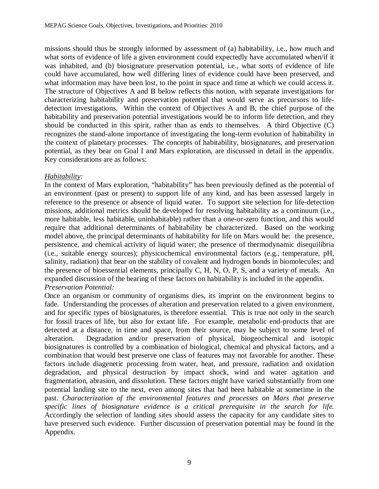missions should thus be strongly informed by assessment of (a) habitability, i.e., how much and what sorts of evidence of life a given environment could expectedly have accumulated when/if it was inhabited, and (b) biosignature preservation potential, i.e., what sorts of evidence of life could have accumulated, how well differing lines of evidence could have been preserved, and what information may have been lost, to the point in space and time at which we could access it. The structure of Objectives A and B below reflects this notion, with separate investigations for characterizing habitability and preservation potential that would serve as precursors to lifedetection investigations. Within the context of Objectives A and B, the chief purpose of the habitability and preservation potential investigations would be to inform life detection, and they should be conducted in this spirit, rather than as ends to themselves. A third Objective (C) recognizes the stand-alone importance of investigating the long-term evolution of habitability in the context of planetary processes. The concepts of habitability, biosignatures, and preservation potential, as they bear on Goal I and Mars exploration, are discussed in detail in the appendix. Key considerations are as follows:

#### *Habitability:*

In the context of Mars exploration, "habitability" has been previously defined as the potential of an environment (past or present) to support life of any kind, and has been assessed largely in reference to the presence or absence of liquid water. To support site selection for life-detection missions, additional metrics should be developed for resolving habitability as a continuum (i.e., more habitable, less habitable, uninhabitable) rather than a one-or-zero function, and this would require that additional determinants of habitability be characterized. Based on the working model above, the principal determinants of habitability for life on Mars would be: the presence, persistence, and chemical activity of liquid water; the presence of thermodynamic disequilibria (i.e., suitable energy sources); physicochemical environmental factors (e.g., temperature, pH, salinity, radiation) that bear on the stability of covalent and hydrogen bonds in biomolecules; and the presence of bioessential elements, principally C, H, N, O, P, S, and a variety of metals. An expanded discussion of the bearing of these factors on habitability is included in the appendix. *Preservation Potential:* 

Once an organism or community of organisms dies, its imprint on the environment begins to fade. Understanding the processes of alteration and preservation related to a given environment, and for specific types of biosignatures, is therefore essential. This is true not only in the search for fossil traces of life, but also for extant life. For example, metabolic end-products that are detected at a distance, in time and space, from their source, may be subject to some level of alteration. Degradation and/or preservation of physical, biogeochemical and isotopic biosignatures is controlled by a combination of biological, chemical and physical factors, and a combination that would best preserve one class of features may not favorable for another. These factors include diagenetic processing from water, heat, and pressure, radiation and oxidation degradation, and physical destruction by impact shock, wind and water agitation and fragmentation, abrasion, and dissolution. These factors might have varied substantially from one potential landing site to the next, even among sites that had been habitable at sometime in the past. *Characterization of the environmental features and processes on Mars that preserve specific lines of biosignature evidence is a critical prerequisite in the search for life.* Accordingly the selection of landing sites should assess the capacity for any candidate sites to have preserved such evidence. Further discussion of preservation potential may be found in the Appendix.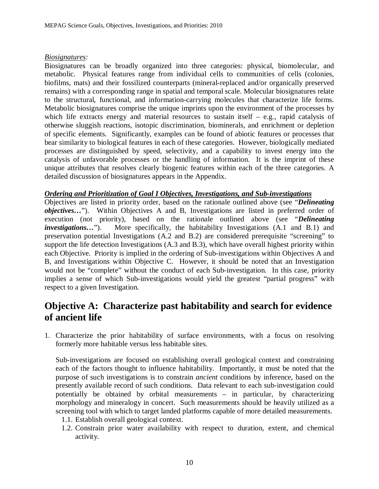#### *Biosignatures:*

Biosignatures can be broadly organized into three categories: physical, biomolecular, and metabolic. Physical features range from individual cells to communities of cells (colonies, biofilms, mats) and their fossilized counterparts (mineral-replaced and/or organically preserved remains) with a corresponding range in spatial and temporal scale. Molecular biosignatures relate to the structural, functional, and information-carrying molecules that characterize life forms. Metabolic biosignatures comprise the unique imprints upon the environment of the processes by which life extracts energy and material resources to sustain itself  $-$  e.g., rapid catalysis of otherwise sluggish reactions, isotopic discrimination, biominerals, and enrichment or depletion of specific elements. Significantly, examples can be found of abiotic features or processes that bear similarity to biological features in each of these categories. However, biologically mediated processes are distinguished by speed, selectivity, and a capability to invest energy into the catalysis of unfavorable processes or the handling of information. It is the imprint of these unique attributes that resolves clearly biogenic features within each of the three categories. A detailed discussion of biosignatures appears in the Appendix.

#### *Ordering and Prioritization of Goal I Objectives, Investigations, and Sub-investigations*

Objectives are listed in priority order, based on the rationale outlined above (see "*Delineating objectives…*"). Within Objectives A and B, Investigations are listed in preferred order of execution (not priority), based on the rationale outlined above (see "*Delineating investigations…*"). More specifically, the habitability Investigations (A.1 and B.1) and preservation potential Investigations (A.2 and B.2) are considered prerequisite "screening" to support the life detection Investigations (A.3 and B.3), which have overall highest priority within each Objective. Priority is implied in the ordering of Sub-investigations within Objectives A and B, and Investigations within Objective C. However, it should be noted that an Investigation would not be "complete" without the conduct of each Sub-investigation. In this case, priority implies a sense of which Sub-investigations would yield the greatest "partial progress" with respect to a given Investigation.

# **Objective A: Characterize past habitability and search for evidence of ancient life**

1. Characterize the prior habitability of surface environments, with a focus on resolving formerly more habitable versus less habitable sites.

Sub-investigations are focused on establishing overall geological context and constraining each of the factors thought to influence habitability. Importantly, it must be noted that the purpose of such investigations is to constrain *ancient* conditions by inference, based on the presently available record of such conditions. Data relevant to each sub-investigation could potentially be obtained by orbital measurements – in particular, by characterizing morphology and mineralogy in concert. Such measurements should be heavily utilized as a screening tool with which to target landed platforms capable of more detailed measurements.

- 1.1. Establish overall geological context.
- 1.2. Constrain prior water availability with respect to duration, extent, and chemical activity.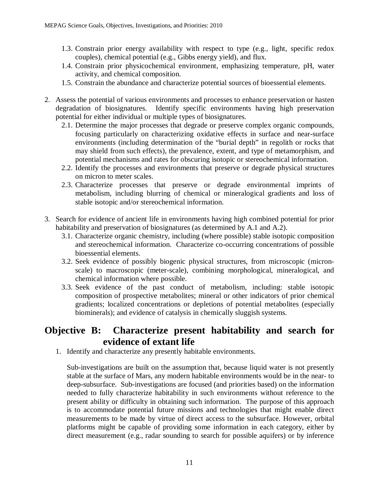- 1.3. Constrain prior energy availability with respect to type (e.g., light, specific redox couples), chemical potential (e.g., Gibbs energy yield), and flux.
- 1.4. Constrain prior physicochemical environment, emphasizing temperature, pH, water activity, and chemical composition.
- 1.5. Constrain the abundance and characterize potential sources of bioessential elements.
- 2. Assess the potential of various environments and processes to enhance preservation or hasten degradation of biosignatures. Identify specific environments having high preservation potential for either individual or multiple types of biosignatures.
	- 2.1. Determine the major processes that degrade or preserve complex organic compounds, focusing particularly on characterizing oxidative effects in surface and near-surface environments (including determination of the "burial depth" in regolith or rocks that may shield from such effects), the prevalence, extent, and type of metamorphism, and potential mechanisms and rates for obscuring isotopic or stereochemical information.
	- 2.2. Identify the processes and environments that preserve or degrade physical structures on micron to meter scales.
	- 2.3. Characterize processes that preserve or degrade environmental imprints of metabolism, including blurring of chemical or mineralogical gradients and loss of stable isotopic and/or stereochemical information.
- 3. Search for evidence of ancient life in environments having high combined potential for prior habitability and preservation of biosignatures (as determined by A.1 and A.2).
	- 3.1. Characterize organic chemistry, including (where possible) stable isotopic composition and stereochemical information. Characterize co-occurring concentrations of possible bioessential elements.
	- 3.2. Seek evidence of possibly biogenic physical structures, from microscopic (micronscale) to macroscopic (meter-scale), combining morphological, mineralogical, and chemical information where possible.
	- 3.3. Seek evidence of the past conduct of metabolism, including: stable isotopic composition of prospective metabolites; mineral or other indicators of prior chemical gradients; localized concentrations or depletions of potential metabolites (especially biominerals); and evidence of catalysis in chemically sluggish systems.

# **Objective B: Characterize present habitability and search for evidence of extant life**

1. Identify and characterize any presently habitable environments.

Sub-investigations are built on the assumption that, because liquid water is not presently stable at the surface of Mars, any modern habitable environments would be in the near- to deep-subsurface. Sub-investigations are focused (and priorities based) on the information needed to fully characterize habitability in such environments without reference to the present ability or difficulty in obtaining such information. The purpose of this approach is to accommodate potential future missions and technologies that might enable direct measurements to be made by virtue of direct access to the subsurface. However, orbital platforms might be capable of providing some information in each category, either by direct measurement (e.g., radar sounding to search for possible aquifers) or by inference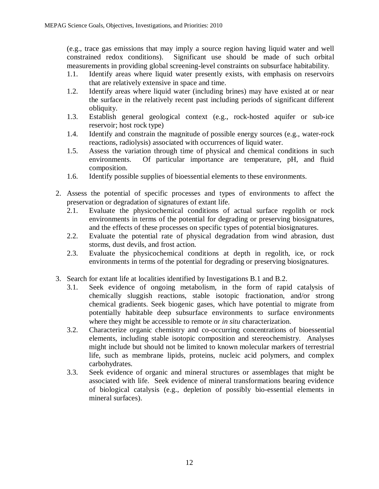(e.g., trace gas emissions that may imply a source region having liquid water and well constrained redox conditions). Significant use should be made of such orbital measurements in providing global screening-level constraints on subsurface habitability.

- 1.1. Identify areas where liquid water presently exists, with emphasis on reservoirs that are relatively extensive in space and time.
- 1.2. Identify areas where liquid water (including brines) may have existed at or near the surface in the relatively recent past including periods of significant different obliquity.
- 1.3. Establish general geological context (e.g., rock-hosted aquifer or sub-ice reservoir; host rock type)
- 1.4. Identify and constrain the magnitude of possible energy sources (e.g., water-rock reactions, radiolysis) associated with occurrences of liquid water.
- 1.5. Assess the variation through time of physical and chemical conditions in such environments. Of particular importance are temperature, pH, and fluid composition.
- 1.6. Identify possible supplies of bioessential elements to these environments.
- 2. Assess the potential of specific processes and types of environments to affect the preservation or degradation of signatures of extant life.
	- 2.1. Evaluate the physicochemical conditions of actual surface regolith or rock environments in terms of the potential for degrading or preserving biosignatures, and the effects of these processes on specific types of potential biosignatures.
	- 2.2. Evaluate the potential rate of physical degradation from wind abrasion, dust storms, dust devils, and frost action.
	- 2.3. Evaluate the physicochemical conditions at depth in regolith, ice, or rock environments in terms of the potential for degrading or preserving biosignatures.
- 3. Search for extant life at localities identified by Investigations B.1 and B.2.
	- 3.1. Seek evidence of ongoing metabolism, in the form of rapid catalysis of chemically sluggish reactions, stable isotopic fractionation, and/or strong chemical gradients. Seek biogenic gases, which have potential to migrate from potentially habitable deep subsurface environments to surface environments where they might be accessible to remote or *in situ* characterization.
	- 3.2. Characterize organic chemistry and co-occurring concentrations of bioessential elements, including stable isotopic composition and stereochemistry. Analyses might include but should not be limited to known molecular markers of terrestrial life, such as membrane lipids, proteins, nucleic acid polymers, and complex carbohydrates.
	- 3.3. Seek evidence of organic and mineral structures or assemblages that might be associated with life. Seek evidence of mineral transformations bearing evidence of biological catalysis (e.g., depletion of possibly bio-essential elements in mineral surfaces).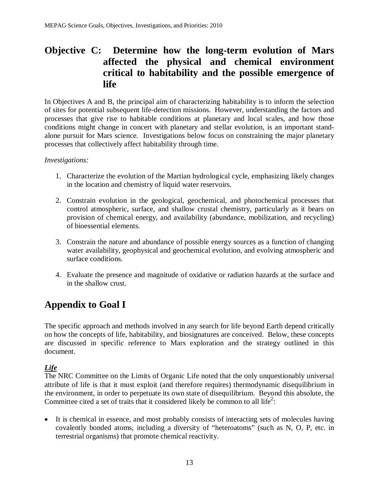# **Objective C: Determine how the long-term evolution of Mars affected the physical and chemical environment critical to habitability and the possible emergence of life**

In Objectives A and B, the principal aim of characterizing habitability is to inform the selection of sites for potential subsequent life-detection missions. However, understanding the factors and processes that give rise to habitable conditions at planetary and local scales, and how those conditions might change in concert with planetary and stellar evolution, is an important standalone pursuit for Mars science. Investigations below focus on constraining the major planetary processes that collectively affect habitability through time.

#### *Investigations:*

- 1. Characterize the evolution of the Martian hydrological cycle, emphasizing likely changes in the location and chemistry of liquid water reservoirs.
- 2. Constrain evolution in the geological, geochemical, and photochemical processes that control atmospheric, surface, and shallow crustal chemistry, particularly as it bears on provision of chemical energy, and availability (abundance, mobilization, and recycling) of bioessential elements.
- 3. Constrain the nature and abundance of possible energy sources as a function of changing water availability, geophysical and geochemical evolution, and evolving atmospheric and surface conditions.
- 4. Evaluate the presence and magnitude of oxidative or radiation hazards at the surface and in the shallow crust.

# **Appendix to Goal I**

The specific approach and methods involved in any search for life beyond Earth depend critically on how the concepts of life, habitability, and biosignatures are conceived. Below, these concepts are discussed in specific reference to Mars exploration and the strategy outlined in this document.

### *Life*

The NRC Committee on the Limits of Organic Life noted that the only unquestionably universal attribute of life is that it must exploit (and therefore requires) thermodynamic disequilibrium in the environment, in order to perpetuate its own state of disequilibrium. Beyond this absolute, the Committee cited a set of traits that it considered likely be common to all life<sup>2</sup>:

• It is chemical in essence, and most probably consists of interacting sets of molecules having covalently bonded atoms, including a diversity of "heteroatoms" (such as N, O, P, etc. in terrestrial organisms) that promote chemical reactivity.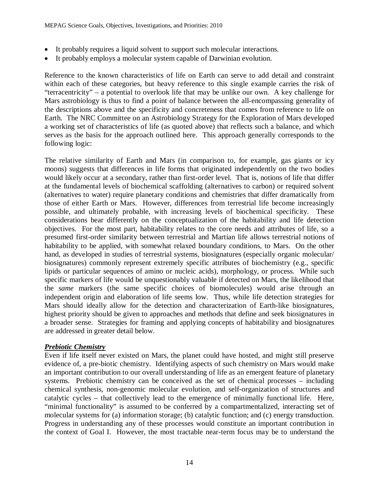- It probably requires a liquid solvent to support such molecular interactions.
- It probably employs a molecular system capable of Darwinian evolution.

Reference to the known characteristics of life on Earth can serve to add detail and constraint within each of these categories, but heavy reference to this single example carries the risk of "terracentricity" – a potential to overlook life that may be unlike our own. A key challenge for Mars astrobiology is thus to find a point of balance between the all-encompassing generality of the descriptions above and the specificity and concreteness that comes from reference to life on Earth. The NRC Committee on an Astrobiology Strategy for the Exploration of Mars developed a working set of characteristics of life (as quoted above) that reflects such a balance, and which serves as the basis for the approach outlined here. This approach generally corresponds to the following logic:

The relative similarity of Earth and Mars (in comparison to, for example, gas giants or icy moons) suggests that differences in life forms that originated independently on the two bodies would likely occur at a secondary, rather than first-order level. That is, notions of life that differ at the fundamental levels of biochemical scaffolding (alternatives to carbon) or required solvent (alternatives to water) require planetary conditions and chemistries that differ dramatically from those of either Earth or Mars. However, differences from terrestrial life become increasingly possible, and ultimately probable, with increasing levels of biochemical specificity. These considerations bear differently on the conceptualization of the habitability and life detection objectives. For the most part, habitability relates to the core needs and attributes of life, so a presumed first-order similarity between terrestrial and Martian life allows terrestrial notions of habitability to be applied, with somewhat relaxed boundary conditions, to Mars. On the other hand, as developed in studies of terrestrial systems, biosignatures (especially organic molecular/ biosignatures) commonly represent extremely specific attributes of biochemistry (e.g., specific lipids or particular sequences of amino or nucleic acids), morphology, or process. While such specific markers of life would be unquestionably valuable if detected on Mars, the likelihood that the *same* markers (the same specific choices of biomolecules) would arise through an independent origin and elaboration of life seems low. Thus, while life detection strategies for Mars should ideally allow for the detection and characterization of Earth-like biosignatures, highest priority should be given to approaches and methods that define and seek biosignatures in a broader sense. Strategies for framing and applying concepts of habitability and biosignatures are addressed in greater detail below.

#### *Prebiotic Chemistry*

Even if life itself never existed on Mars, the planet could have hosted, and might still preserve evidence of, a pre-biotic chemistry. Identifying aspects of such chemistry on Mars would make an important contribution to our overall understanding of life as an emergent feature of planetary systems. Prebiotic chemistry can be conceived as the set of chemical processes – including chemical synthesis, non-genomic molecular evolution, and self-organization of structures and catalytic cycles – that collectively lead to the emergence of minimally functional life. Here, "minimal functionality" is assumed to be conferred by a compartmentalized, interacting set of molecular systems for (a) information storage; (b) catalytic function; and (c) energy transduction. Progress in understanding any of these processes would constitute an important contribution in the context of Goal I. However, the most tractable near-term focus may be to understand the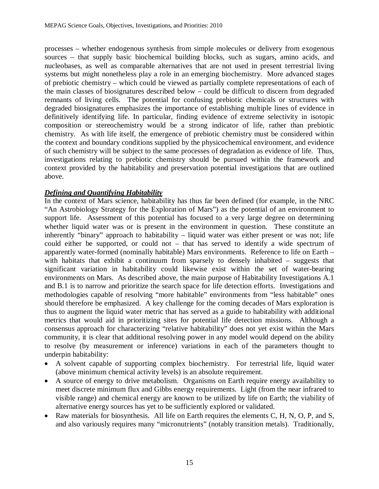processes – whether endogenous synthesis from simple molecules or delivery from exogenous sources – that supply basic biochemical building blocks, such as sugars, amino acids, and nucleobases, as well as comparable alternatives that are not used in present terrestrial living systems but might nonetheless play a role in an emerging biochemistry. More advanced stages of prebiotic chemistry – which could be viewed as partially complete representations of each of the main classes of biosignatures described below – could be difficult to discern from degraded remnants of living cells. The potential for confusing prebiotic chemicals or structures with degraded biosignatures emphasizes the importance of establishing multiple lines of evidence in definitively identifying life. In particular, finding evidence of extreme selectivity in isotopic composition or stereochemistry would be a strong indicator of life, rather than prebiotic chemistry. As with life itself, the emergence of prebiotic chemistry must be considered within the context and boundary conditions supplied by the physicochemical environment, and evidence of such chemistry will be subject to the same processes of degradation as evidence of life. Thus, investigations relating to prebiotic chemistry should be pursued within the framework and context provided by the habitability and preservation potential investigations that are outlined above.

#### *Defining and Quantifying Habitability*

In the context of Mars science, habitability has thus far been defined (for example, in the NRC "An Astrobiology Strategy for the Exploration of Mars") as the potential of an environment to support life. Assessment of this potential has focused to a very large degree on determining whether liquid water was or is present in the environment in question. These constitute an inherently "binary" approach to habitability – liquid water was either present or was not; life could either be supported, or could not – that has served to identify a wide spectrum of apparently water-formed (nominally habitable) Mars environments. Reference to life on Earth – with habitats that exhibit a continuum from sparsely to densely inhabited – suggests that significant variation in habitability could likewise exist within the set of water-bearing environments on Mars. As described above, the main purpose of Habitability Investigations A.1 and B.1 is to narrow and prioritize the search space for life detection efforts. Investigations and methodologies capable of resolving "more habitable" environments from "less habitable" ones should therefore be emphasized. A key challenge for the coming decades of Mars exploration is thus to augment the liquid water metric that has served as a guide to habitability with additional metrics that would aid in prioritizing sites for potential life detection missions. Although a consensus approach for characterizing "relative habitability" does not yet exist within the Mars community, it is clear that additional resolving power in any model would depend on the ability to resolve (by measurement or inference) variations in each of the parameters thought to underpin habitability:

- A solvent capable of supporting complex biochemistry. For terrestrial life, liquid water (above minimum chemical activity levels) is an absolute requirement.
- A source of energy to drive metabolism. Organisms on Earth require energy availability to meet discrete minimum flux and Gibbs energy requirements. Light (from the near infrared to visible range) and chemical energy are known to be utilized by life on Earth; the viability of alternative energy sources has yet to be sufficiently explored or validated.
- Raw materials for biosynthesis. All life on Earth requires the elements C, H, N, O, P, and S, and also variously requires many "micronutrients" (notably transition metals). Traditionally,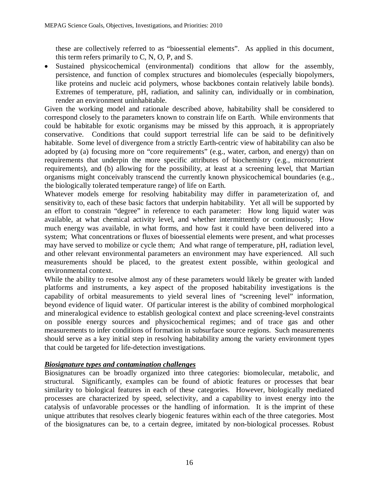these are collectively referred to as "bioessential elements". As applied in this document, this term refers primarily to C, N, O, P, and S.

• Sustained physicochemical (environmental) conditions that allow for the assembly, persistence, and function of complex structures and biomolecules (especially biopolymers, like proteins and nucleic acid polymers, whose backbones contain relatively labile bonds). Extremes of temperature, pH, radiation, and salinity can, individually or in combination, render an environment uninhabitable.

Given the working model and rationale described above, habitability shall be considered to correspond closely to the parameters known to constrain life on Earth. While environments that could be habitable for exotic organisms may be missed by this approach, it is appropriately conservative. Conditions that could support terrestrial life can be said to be definitively habitable. Some level of divergence from a strictly Earth-centric view of habitability can also be adopted by (a) focusing more on "core requirements" (e.g., water, carbon, and energy) than on requirements that underpin the more specific attributes of biochemistry (e.g., micronutrient requirements), and (b) allowing for the possibility, at least at a screening level, that Martian organisms might conceivably transcend the currently known physicochemical boundaries (e.g., the biologically tolerated temperature range) of life on Earth.

Whatever models emerge for resolving habitability may differ in parameterization of, and sensitivity to, each of these basic factors that underpin habitability. Yet all will be supported by an effort to constrain "degree" in reference to each parameter: How long liquid water was available, at what chemical activity level, and whether intermittently or continuously; How much energy was available, in what forms, and how fast it could have been delivered into a system; What concentrations or fluxes of bioessential elements were present, and what processes may have served to mobilize or cycle them; And what range of temperature, pH, radiation level, and other relevant environmental parameters an environment may have experienced. All such measurements should be placed, to the greatest extent possible, within geological and environmental context.

While the ability to resolve almost any of these parameters would likely be greater with landed platforms and instruments, a key aspect of the proposed habitability investigations is the capability of orbital measurements to yield several lines of "screening level" information, beyond evidence of liquid water. Of particular interest is the ability of combined morphological and mineralogical evidence to establish geological context and place screening-level constraints on possible energy sources and physicochemical regimes; and of trace gas and other measurements to infer conditions of formation in subsurface source regions. Such measurements should serve as a key initial step in resolving habitability among the variety environment types that could be targeted for life-detection investigations.

#### *Biosignature types and contamination challenges*

Biosignatures can be broadly organized into three categories: biomolecular, metabolic, and structural. Significantly, examples can be found of abiotic features or processes that bear similarity to biological features in each of these categories. However, biologically mediated processes are characterized by speed, selectivity, and a capability to invest energy into the catalysis of unfavorable processes or the handling of information. It is the imprint of these unique attributes that resolves clearly biogenic features within each of the three categories. Most of the biosignatures can be, to a certain degree, imitated by non-biological processes. Robust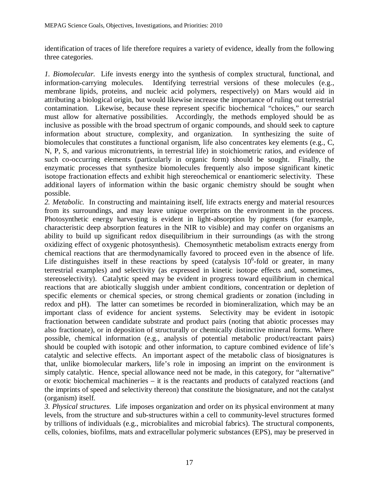identification of traces of life therefore requires a variety of evidence, ideally from the following three categories.

*1. Biomolecular.* Life invests energy into the synthesis of complex structural, functional, and information-carrying molecules. Identifying terrestrial versions of these molecules (e.g., membrane lipids, proteins, and nucleic acid polymers, respectively) on Mars would aid in attributing a biological origin, but would likewise increase the importance of ruling out terrestrial contamination. Likewise, because these represent specific biochemical "choices," our search must allow for alternative possibilities. Accordingly, the methods employed should be as inclusive as possible with the broad spectrum of organic compounds, and should seek to capture information about structure, complexity, and organization. In synthesizing the suite of biomolecules that constitutes a functional organism, life also concentrates key elements (e.g., C, N, P, S, and various micronutrients, in terrestrial life) in stoichiometric ratios, and evidence of such co-occurring elements (particularly in organic form) should be sought. Finally, the enzymatic processes that synthesize biomolecules frequently also impose significant kinetic isotope fractionation effects and exhibit high stereochemical or enantiomeric selectivity. These additional layers of information within the basic organic chemistry should be sought when possible.

*2. Metabolic.* In constructing and maintaining itself, life extracts energy and material resources from its surroundings, and may leave unique overprints on the environment in the process. Photosynthetic energy harvesting is evident in light-absorption by pigments (for example, characteristic deep absorption features in the NIR to visible) and may confer on organisms an ability to build up significant redox disequilibrium in their surroundings (as with the strong oxidizing effect of oxygenic photosynthesis). Chemosynthetic metabolism extracts energy from chemical reactions that are thermodynamically favored to proceed even in the absence of life. Life distinguishes itself in these reactions by speed (catalysis  $10^6$ -fold or greater, in many terrestrial examples) and selectivity (as expressed in kinetic isotope effects and, sometimes, stereoselectivity). Catalytic speed may be evident in progress toward equilibrium in chemical reactions that are abiotically sluggish under ambient conditions, concentration or depletion of specific elements or chemical species, or strong chemical gradients or zonation (including in redox and pH). The latter can sometimes be recorded in biomineralization, which may be an important class of evidence for ancient systems. Selectivity may be evident in isotopic fractionation between candidate substrate and product pairs (noting that abiotic processes may also fractionate), or in deposition of structurally or chemically distinctive mineral forms. Where possible, chemical information (e.g., analysis of potential metabolic product/reactant pairs) should be coupled with isotopic and other information, to capture combined evidence of life's catalytic and selective effects. An important aspect of the metabolic class of biosignatures is that, unlike biomolecular markers, life's role in imposing an imprint on the environment is simply catalytic. Hence, special allowance need not be made, in this category, for "alternative" or exotic biochemical machineries – it is the reactants and products of catalyzed reactions (and the imprints of speed and selectivity thereon) that constitute the biosignature, and not the catalyst (organism) itself.

*3. Physical structures.* Life imposes organization and order on its physical environment at many levels, from the structure and sub-structures within a cell to community-level structures formed by trillions of individuals (e.g., microbialites and microbial fabrics). The structural components, cells, colonies, biofilms, mats and extracellular polymeric substances (EPS), may be preserved in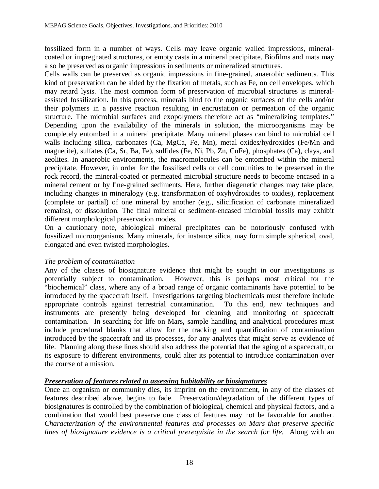fossilized form in a number of ways. Cells may leave organic walled impressions, mineralcoated or impregnated structures, or empty casts in a mineral precipitate. Biofilms and mats may also be preserved as organic impressions in sediments or mineralized structures.

Cells walls can be preserved as organic impressions in fine-grained, anaerobic sediments. This kind of preservation can be aided by the fixation of metals, such as Fe, on cell envelopes, which may retard lysis. The most common form of preservation of microbial structures is mineralassisted fossilization. In this process, minerals bind to the organic surfaces of the cells and/or their polymers in a passive reaction resulting in encrustation or permeation of the organic structure. The microbial surfaces and exopolymers therefore act as "mineralizing templates." Depending upon the availability of the minerals in solution, the microorganisms may be completely entombed in a mineral precipitate. Many mineral phases can bind to microbial cell walls including silica, carbonates (Ca, MgCa, Fe, Mn), metal oxides/hydroxides (Fe/Mn and magnetite), sulfates (Ca, Sr, Ba, Fe), sulfides (Fe, Ni, Pb, Zn, CuFe), phosphates (Ca), clays, and zeolites. In anaerobic environments, the macromolecules can be entombed within the mineral precipitate. However, in order for the fossilised cells or cell comunities to be preserved in the rock record, the mineral-coated or permeated microbial structure needs to become encased in a mineral cement or by fine-grained sediments. Here, further diagenetic changes may take place, including changes in mineralogy (e.g. transformation of oxyhydroxides to oxides), replacement (complete or partial) of one mineral by another (e.g., silicification of carbonate mineralized remains), or dissolution. The final mineral or sediment-encased microbial fossils may exhibit different morphological preservation modes.

On a cautionary note, abiological mineral precipitates can be notoriously confused with fossilized microorganisms. Many minerals, for instance silica, may form simple spherical, oval, elongated and even twisted morphologies.

### *The problem of contamination*

Any of the classes of biosignature evidence that might be sought in our investigations is potentially subject to contamination. However, this is perhaps most critical for the "biochemical" class, where any of a broad range of organic contaminants have potential to be introduced by the spacecraft itself. Investigations targeting biochemicals must therefore include appropriate controls against terrestrial contamination. To this end, new techniques and instruments are presently being developed for cleaning and monitoring of spacecraft contamination. In searching for life on Mars, sample handling and analytical procedures must include procedural blanks that allow for the tracking and quantification of contamination introduced by the spacecraft and its processes, for any analytes that might serve as evidence of life. Planning along these lines should also address the potential that the aging of a spacecraft, or its exposure to different environments, could alter its potential to introduce contamination over the course of a mission.

#### *Preservation of features related to assessing habitability or biosignatures*

Once an organism or community dies, its imprint on the environment, in any of the classes of features described above, begins to fade. Preservation/degradation of the different types of biosignatures is controlled by the combination of biological, chemical and physical factors, and a combination that would best preserve one class of features may not be favorable for another. *Characterization of the environmental features and processes on Mars that preserve specific lines of biosignature evidence is a critical prerequisite in the search for life.* Along with an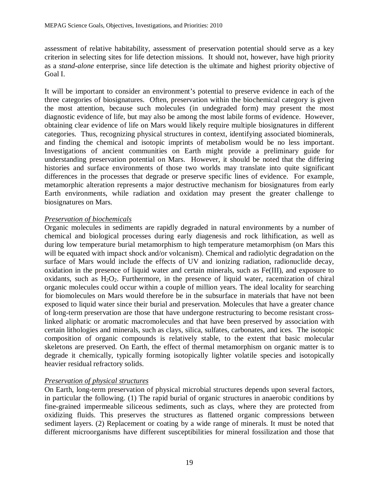assessment of relative habitability, assessment of preservation potential should serve as a key criterion in selecting sites for life detection missions. It should not, however, have high priority as a *stand-alone* enterprise, since life detection is the ultimate and highest priority objective of Goal I.

It will be important to consider an environment's potential to preserve evidence in each of the three categories of biosignatures. Often, preservation within the biochemical category is given the most attention, because such molecules (in undegraded form) may present the most diagnostic evidence of life, but may also be among the most labile forms of evidence. However, obtaining clear evidence of life on Mars would likely require multiple biosignatures in different categories. Thus, recognizing physical structures in context, identifying associated biominerals, and finding the chemical and isotopic imprints of metabolism would be no less important. Investigations of ancient communities on Earth might provide a preliminary guide for understanding preservation potential on Mars. However, it should be noted that the differing histories and surface environments of those two worlds may translate into quite significant differences in the processes that degrade or preserve specific lines of evidence. For example, metamorphic alteration represents a major destructive mechanism for biosignatures from early Earth environments, while radiation and oxidation may present the greater challenge to biosignatures on Mars.

#### *Preservation of biochemicals*

Organic molecules in sediments are rapidly degraded in natural environments by a number of chemical and biological processes during early diagenesis and rock lithification, as well as during low temperature burial metamorphism to high temperature metamorphism (on Mars this will be equated with impact shock and/or volcanism). Chemical and radiolytic degradation on the surface of Mars would include the effects of UV and ionizing radiation, radionuclide decay, oxidation in the presence of liquid water and certain minerals, such as Fe(III), and exposure to oxidants, such as  $H_2O_2$ . Furthermore, in the presence of liquid water, racemization of chiral organic molecules could occur within a couple of million years. The ideal locality for searching for biomolecules on Mars would therefore be in the subsurface in materials that have not been exposed to liquid water since their burial and preservation. Molecules that have a greater chance of long-term preservation are those that have undergone restructuring to become resistant crosslinked aliphatic or aromatic macromolecules and that have been preserved by association with certain lithologies and minerals, such as clays, silica, sulfates, carbonates, and ices. The isotopic composition of organic compounds is relatively stable, to the extent that basic molecular skeletons are preserved. On Earth, the effect of thermal metamorphism on organic matter is to degrade it chemically, typically forming isotopically lighter volatile species and isotopically heavier residual refractory solids.

### *Preservation of physical structures*

On Earth, long-term preservation of physical microbial structures depends upon several factors, in particular the following. (1) The rapid burial of organic structures in anaerobic conditions by fine-grained impermeable siliceous sediments, such as clays, where they are protected from oxidizing fluids. This preserves the structures as flattened organic compressions between sediment layers. (2) Replacement or coating by a wide range of minerals. It must be noted that different microorganisms have different susceptibilities for mineral fossilization and those that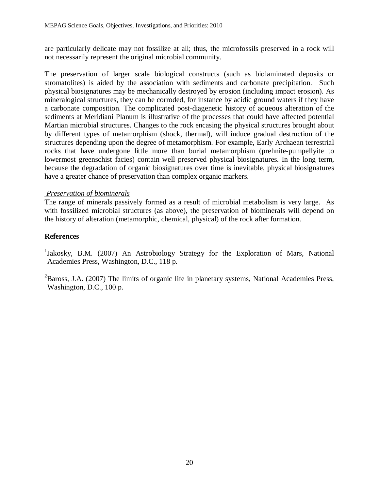are particularly delicate may not fossilize at all; thus, the microfossils preserved in a rock will not necessarily represent the original microbial community.

The preservation of larger scale biological constructs (such as biolaminated deposits or stromatolites) is aided by the association with sediments and carbonate precipitation. Such physical biosignatures may be mechanically destroyed by erosion (including impact erosion). As mineralogical structures, they can be corroded, for instance by acidic ground waters if they have a carbonate composition. The complicated post-diagenetic history of aqueous alteration of the sediments at Meridiani Planum is illustrative of the processes that could have affected potential Martian microbial structures. Changes to the rock encasing the physical structures brought about by different types of metamorphism (shock, thermal), will induce gradual destruction of the structures depending upon the degree of metamorphism. For example, Early Archaean terrestrial rocks that have undergone little more than burial metamorphism (prehnite-pumpellyite to lowermost greenschist facies) contain well preserved physical biosignatures. In the long term, because the degradation of organic biosignatures over time is inevitable, physical biosignatures have a greater chance of preservation than complex organic markers.

#### *Preservation of biominerals*

The range of minerals passively formed as a result of microbial metabolism is very large. As with fossilized microbial structures (as above), the preservation of biominerals will depend on the history of alteration (metamorphic, chemical, physical) of the rock after formation.

#### **References**

- <sup>1</sup>Jakosky, B.M. (2007) An Astrobiology Strategy for the Exploration of Mars, National Academies Press, Washington, D.C., 118 p.
- ${}^{2}$ Baross, J.A. (2007) The limits of organic life in planetary systems, National Academies Press, Washington, D.C., 100 p.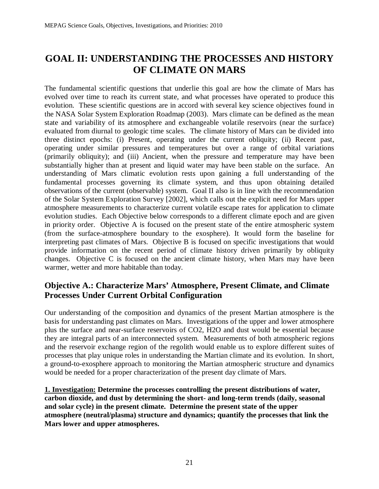# **GOAL II: UNDERSTANDING THE PROCESSES AND HISTORY OF CLIMATE ON MARS**

The fundamental scientific questions that underlie this goal are how the climate of Mars has evolved over time to reach its current state, and what processes have operated to produce this evolution. These scientific questions are in accord with several key science objectives found in the NASA Solar System Exploration Roadmap (2003). Mars climate can be defined as the mean state and variability of its atmosphere and exchangeable volatile reservoirs (near the surface) evaluated from diurnal to geologic time scales. The climate history of Mars can be divided into three distinct epochs: (i) Present, operating under the current obliquity; (ii) Recent past, operating under similar pressures and temperatures but over a range of orbital variations (primarily obliquity); and (iii) Ancient, when the pressure and temperature may have been substantially higher than at present and liquid water may have been stable on the surface. An understanding of Mars climatic evolution rests upon gaining a full understanding of the fundamental processes governing its climate system, and thus upon obtaining detailed observations of the current (observable) system. Goal II also is in line with the recommendation of the Solar System Exploration Survey [2002], which calls out the explicit need for Mars upper atmosphere measurements to characterize current volatile escape rates for application to climate evolution studies. Each Objective below corresponds to a different climate epoch and are given in priority order. Objective A is focused on the present state of the entire atmospheric system (from the surface-atmosphere boundary to the exosphere). It would form the baseline for interpreting past climates of Mars. Objective B is focused on specific investigations that would provide information on the recent period of climate history driven primarily by obliquity changes. Objective C is focused on the ancient climate history, when Mars may have been warmer, wetter and more habitable than today.

# **Objective A.: Characterize Mars' Atmosphere, Present Climate, and Climate Processes Under Current Orbital Configuration**

Our understanding of the composition and dynamics of the present Martian atmosphere is the basis for understanding past climates on Mars. Investigations of the upper and lower atmosphere plus the surface and near-surface reservoirs of CO2, H2O and dust would be essential because they are integral parts of an interconnected system. Measurements of both atmospheric regions and the reservoir exchange region of the regolith would enable us to explore different suites of processes that play unique roles in understanding the Martian climate and its evolution. In short, a ground-to-exosphere approach to monitoring the Martian atmospheric structure and dynamics would be needed for a proper characterization of the present day climate of Mars.

**1. Investigation: Determine the processes controlling the present distributions of water, carbon dioxide, and dust by determining the short- and long-term trends (daily, seasonal and solar cycle) in the present climate. Determine the present state of the upper atmosphere (neutral/plasma) structure and dynamics; quantify the processes that link the Mars lower and upper atmospheres.**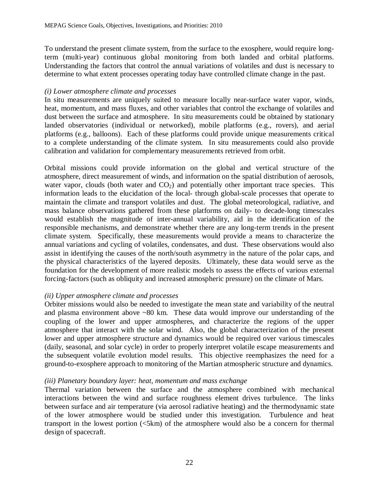To understand the present climate system, from the surface to the exosphere, would require longterm (multi-year) continuous global monitoring from both landed and orbital platforms. Understanding the factors that control the annual variations of volatiles and dust is necessary to determine to what extent processes operating today have controlled climate change in the past.

#### *(i) Lower atmosphere climate and processes*

In situ measurements are uniquely suited to measure locally near-surface water vapor, winds, heat, momentum, and mass fluxes, and other variables that control the exchange of volatiles and dust between the surface and atmosphere. In situ measurements could be obtained by stationary landed observatories (individual or networked), mobile platforms (e.g., rovers), and aerial platforms (e.g., balloons). Each of these platforms could provide unique measurements critical to a complete understanding of the climate system. In situ measurements could also provide calibration and validation for complementary measurements retrieved from orbit.

Orbital missions could provide information on the global and vertical structure of the atmosphere, direct measurement of winds, and information on the spatial distribution of aerosols, water vapor, clouds (both water and  $CO<sub>2</sub>$ ) and potentially other important trace species. This information leads to the elucidation of the local- through global-scale processes that operate to maintain the climate and transport volatiles and dust. The global meteorological, radiative, and mass balance observations gathered from these platforms on daily- to decade-long timescales would establish the magnitude of inter-annual variability, aid in the identification of the responsible mechanisms, and demonstrate whether there are any long-term trends in the present climate system. Specifically, these measurements would provide a means to characterize the annual variations and cycling of volatiles, condensates, and dust. These observations would also assist in identifying the causes of the north/south asymmetry in the nature of the polar caps, and the physical characteristics of the layered deposits. Ultimately, these data would serve as the foundation for the development of more realistic models to assess the effects of various external forcing-factors (such as obliquity and increased atmospheric pressure) on the climate of Mars.

#### *(ii) Upper atmosphere climate and processes*

Orbiter missions would also be needed to investigate the mean state and variability of the neutral and plasma environment above ~80 km. These data would improve our understanding of the coupling of the lower and upper atmospheres, and characterize the regions of the upper atmosphere that interact with the solar wind. Also, the global characterization of the present lower and upper atmosphere structure and dynamics would be required over various timescales (daily, seasonal, and solar cycle) in order to properly interpret volatile escape measurements and the subsequent volatile evolution model results. This objective reemphasizes the need for a ground-to-exosphere approach to monitoring of the Martian atmospheric structure and dynamics.

#### *(iii) Planetary boundary layer: heat, momentum and mass exchange*

Thermal variation between the surface and the atmosphere combined with mechanical interactions between the wind and surface roughness element drives turbulence. The links between surface and air temperature (via aerosol radiative heating) and the thermodynamic state of the lower atmosphere would be studied under this investigation. Turbulence and heat transport in the lowest portion  $\langle \langle 5km \rangle$  of the atmosphere would also be a concern for thermal design of spacecraft.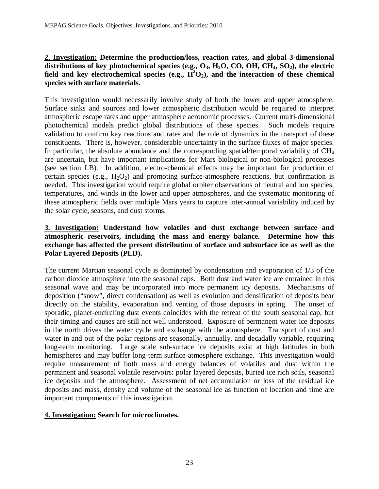#### **2. Investigation: Determine the production/loss, reaction rates, and global 3-dimensional distributions of key photochemical species (e.g., O3, H2O, CO, OH, CH4, SO2), the electric**  field and key electrochemical species (e.g.,  $H^2O_2$ ), and the interaction of these chemical **species with surface materials.**

This investigation would necessarily involve study of both the lower and upper atmosphere. Surface sinks and sources and lower atmospheric distribution would be required to interpret atmospheric escape rates and upper atmosphere aeronomic processes. Current multi-dimensional photochemical models predict global distributions of these species. Such models require validation to confirm key reactions and rates and the role of dynamics in the transport of these constituents. There is, however, considerable uncertainty in the surface fluxes of major species. In particular, the absolute abundance and the corresponding spatial/temporal variability of CH<sub>4</sub> are uncertain, but have important implications for Mars biological or non-biological processes (see section I.B). In addition, electro-chemical effects may be important for production of certain species (e.g.,  $H_2O_2$ ) and promoting surface-atmosphere reactions, but confirmation is needed. This investigation would require global orbiter observations of neutral and ion species, temperatures, and winds in the lower and upper atmospheres, and the systematic monitoring of these atmospheric fields over multiple Mars years to capture inter-annual variability induced by the solar cycle, seasons, and dust storms.

#### **3. Investigation: Understand how volatiles and dust exchange between surface and atmospheric reservoirs, including the mass and energy balance. Determine how this exchange has affected the present distribution of surface and subsurface ice as well as the Polar Layered Deposits (PLD).**

The current Martian seasonal cycle is dominated by condensation and evaporation of 1/3 of the carbon dioxide atmosphere into the seasonal caps. Both dust and water ice are entrained in this seasonal wave and may be incorporated into more permanent icy deposits. Mechanisms of deposition ("snow", direct condensation) as well as evolution and densification of deposits bear directly on the stability, evaporation and venting of those deposits in spring. The onset of sporadic, planet-encircling dust events coincides with the retreat of the south seasonal cap, but their timing and causes are still not well understood. Exposure of permanent water ice deposits in the north drives the water cycle and exchange with the atmosphere. Transport of dust and water in and out of the polar regions are seasonally, annually, and decadally variable, requiring long-term monitoring. Large scale sub-surface ice deposits exist at high latitudes in both hemispheres and may buffer long-term surface-atmosphere exchange. This investigation would require measurement of both mass and energy balances of volatiles and dust within the permanent and seasonal volatile reservoirs: polar layered deposits, buried ice rich soils, seasonal ice deposits and the atmosphere. Assessment of net accumulation or loss of the residual ice deposits and mass, density and volume of the seasonal ice as function of location and time are important components of this investigation.

#### **4. Investigation: Search for microclimates.**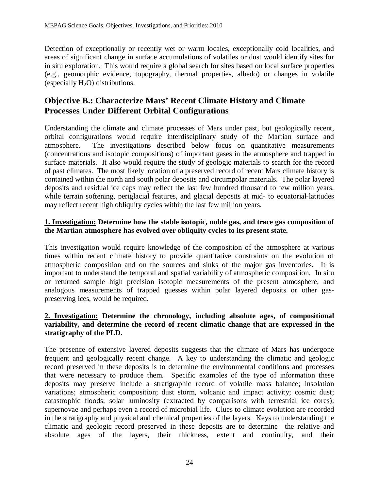Detection of exceptionally or recently wet or warm locales, exceptionally cold localities, and areas of significant change in surface accumulations of volatiles or dust would identify sites for in situ exploration. This would require a global search for sites based on local surface properties (e.g., geomorphic evidence, topography, thermal properties, albedo) or changes in volatile (especially  $H_2O$ ) distributions.

# **Objective B.: Characterize Mars' Recent Climate History and Climate Processes Under Different Orbital Configurations**

Understanding the climate and climate processes of Mars under past, but geologically recent, orbital configurations would require interdisciplinary study of the Martian surface and atmosphere. The investigations described below focus on quantitative measurements (concentrations and isotopic compositions) of important gases in the atmosphere and trapped in surface materials. It also would require the study of geologic materials to search for the record of past climates. The most likely location of a preserved record of recent Mars climate history is contained within the north and south polar deposits and circumpolar materials. The polar layered deposits and residual ice caps may reflect the last few hundred thousand to few million years, while terrain softening, periglacial features, and glacial deposits at mid- to equatorial-latitudes may reflect recent high obliquity cycles within the last few million years.

#### **1. Investigation: Determine how the stable isotopic, noble gas, and trace gas composition of the Martian atmosphere has evolved over obliquity cycles to its present state.**

This investigation would require knowledge of the composition of the atmosphere at various times within recent climate history to provide quantitative constraints on the evolution of atmospheric composition and on the sources and sinks of the major gas inventories. It is important to understand the temporal and spatial variability of atmospheric composition. In situ or returned sample high precision isotopic measurements of the present atmosphere, and analogous measurements of trapped guesses within polar layered deposits or other gaspreserving ices, would be required.

#### **2. Investigation: Determine the chronology, including absolute ages, of compositional variability, and determine the record of recent climatic change that are expressed in the stratigraphy of the PLD.**

The presence of extensive layered deposits suggests that the climate of Mars has undergone frequent and geologically recent change. A key to understanding the climatic and geologic record preserved in these deposits is to determine the environmental conditions and processes that were necessary to produce them. Specific examples of the type of information these deposits may preserve include a stratigraphic record of volatile mass balance; insolation variations; atmospheric composition; dust storm, volcanic and impact activity; cosmic dust; catastrophic floods; solar luminosity (extracted by comparisons with terrestrial ice cores); supernovae and perhaps even a record of microbial life. Clues to climate evolution are recorded in the stratigraphy and physical and chemical properties of the layers. Keys to understanding the climatic and geologic record preserved in these deposits are to determine the relative and absolute ages of the layers, their thickness, extent and continuity, and their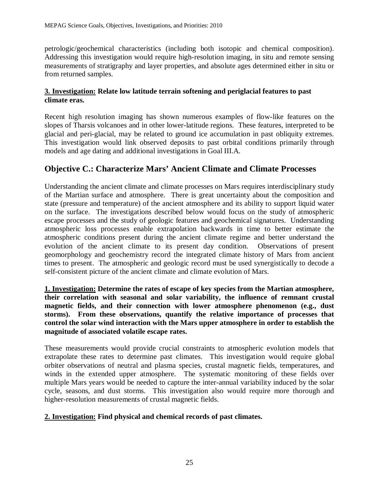petrologic/geochemical characteristics (including both isotopic and chemical composition). Addressing this investigation would require high-resolution imaging, in situ and remote sensing measurements of stratigraphy and layer properties, and absolute ages determined either in situ or from returned samples.

#### **3. Investigation: Relate low latitude terrain softening and periglacial features to past climate eras.**

Recent high resolution imaging has shown numerous examples of flow-like features on the slopes of Tharsis volcanoes and in other lower-latitude regions. These features, interpreted to be glacial and peri-glacial, may be related to ground ice accumulation in past obliquity extremes. This investigation would link observed deposits to past orbital conditions primarily through models and age dating and additional investigations in Goal III.A.

# **Objective C.: Characterize Mars' Ancient Climate and Climate Processes**

Understanding the ancient climate and climate processes on Mars requires interdisciplinary study of the Martian surface and atmosphere. There is great uncertainty about the composition and state (pressure and temperature) of the ancient atmosphere and its ability to support liquid water on the surface. The investigations described below would focus on the study of atmospheric escape processes and the study of geologic features and geochemical signatures. Understanding atmospheric loss processes enable extrapolation backwards in time to better estimate the atmospheric conditions present during the ancient climate regime and better understand the evolution of the ancient climate to its present day condition. Observations of present geomorphology and geochemistry record the integrated climate history of Mars from ancient times to present. The atmospheric and geologic record must be used synergistically to decode a self-consistent picture of the ancient climate and climate evolution of Mars.

#### **1. Investigation: Determine the rates of escape of key species from the Martian atmosphere, their correlation with seasonal and solar variability, the influence of remnant crustal magnetic fields, and their connection with lower atmosphere phenomenon (e.g., dust storms). From these observations, quantify the relative importance of processes that control the solar wind interaction with the Mars upper atmosphere in order to establish the magnitude of associated volatile escape rates.**

These measurements would provide crucial constraints to atmospheric evolution models that extrapolate these rates to determine past climates. This investigation would require global orbiter observations of neutral and plasma species, crustal magnetic fields, temperatures, and winds in the extended upper atmosphere. The systematic monitoring of these fields over multiple Mars years would be needed to capture the inter-annual variability induced by the solar cycle, seasons, and dust storms. This investigation also would require more thorough and higher-resolution measurements of crustal magnetic fields.

#### **2. Investigation: Find physical and chemical records of past climates.**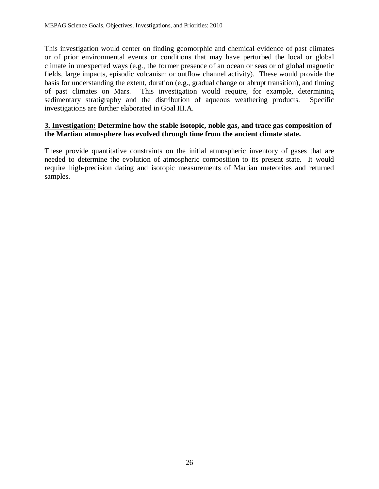This investigation would center on finding geomorphic and chemical evidence of past climates or of prior environmental events or conditions that may have perturbed the local or global climate in unexpected ways (e.g., the former presence of an ocean or seas or of global magnetic fields, large impacts, episodic volcanism or outflow channel activity). These would provide the basis for understanding the extent, duration (e.g., gradual change or abrupt transition), and timing of past climates on Mars. This investigation would require, for example, determining sedimentary stratigraphy and the distribution of aqueous weathering products. Specific investigations are further elaborated in Goal III.A.

#### **3. Investigation: Determine how the stable isotopic, noble gas, and trace gas composition of the Martian atmosphere has evolved through time from the ancient climate state.**

These provide quantitative constraints on the initial atmospheric inventory of gases that are needed to determine the evolution of atmospheric composition to its present state. It would require high-precision dating and isotopic measurements of Martian meteorites and returned samples.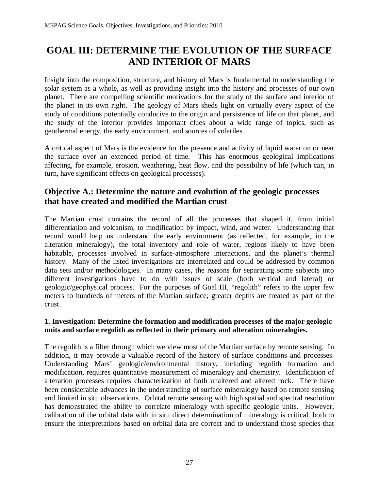# **GOAL III: DETERMINE THE EVOLUTION OF THE SURFACE AND INTERIOR OF MARS**

Insight into the composition, structure, and history of Mars is fundamental to understanding the solar system as a whole, as well as providing insight into the history and processes of our own planet. There are compelling scientific motivations for the study of the surface and interior of the planet in its own right. The geology of Mars sheds light on virtually every aspect of the study of conditions potentially conducive to the origin and persistence of life on that planet, and the study of the interior provides important clues about a wide range of topics, such as geothermal energy, the early environment, and sources of volatiles.

A critical aspect of Mars is the evidence for the presence and activity of liquid water on or near the surface over an extended period of time. This has enormous geological implications affecting, for example, erosion, weathering, heat flow, and the possibility of life (which can, in turn, have significant effects on geological processes).

# **Objective A.: Determine the nature and evolution of the geologic processes that have created and modified the Martian crust**

The Martian crust contains the record of all the processes that shaped it, from initial differentiation and volcanism, to modification by impact, wind, and water. Understanding that record would help us understand the early environment (as reflected, for example, in the alteration mineralogy), the total inventory and role of water, regions likely to have been habitable, processes involved in surface-atmosphere interactions, and the planet's thermal history. Many of the listed investigations are interrelated and could be addressed by common data sets and/or methodologies. In many cases, the reasons for separating some subjects into different investigations have to do with issues of scale (both vertical and lateral) or geologic/geophysical process. For the purposes of Goal III, "regolith" refers to the upper few meters to hundreds of meters of the Martian surface; greater depths are treated as part of the crust.

#### **1. Investigation: Determine the formation and modification processes of the major geologic units and surface regolith as reflected in their primary and alteration mineralogies.**

The regolith is a filter through which we view most of the Martian surface by remote sensing. In addition, it may provide a valuable record of the history of surface conditions and processes. Understanding Mars' geologic/environmental history, including regolith formation and modification, requires quantitative measurement of mineralogy and chemistry. Identification of alteration processes requires characterization of both unaltered and altered rock. There have been considerable advances in the understanding of surface mineralogy based on remote sensing and limited in situ observations. Orbital remote sensing with high spatial and spectral resolution has demonstrated the ability to correlate mineralogy with specific geologic units. However, calibration of the orbital data with in situ direct determination of mineralogy is critical, both to ensure the interpretations based on orbital data are correct and to understand those species that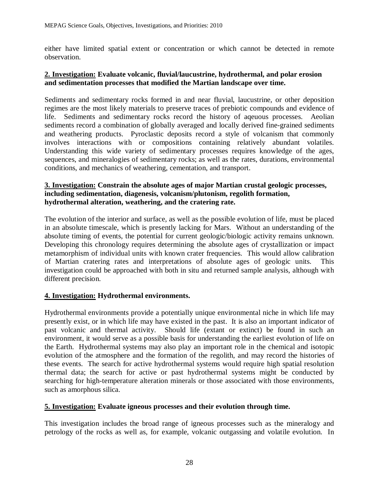either have limited spatial extent or concentration or which cannot be detected in remote observation.

#### **2. Investigation: Evaluate volcanic, fluvial/laucustrine, hydrothermal, and polar erosion and sedimentation processes that modified the Martian landscape over time.**

Sediments and sedimentary rocks formed in and near fluvial, laucustrine, or other deposition regimes are the most likely materials to preserve traces of prebiotic compounds and evidence of life. Sediments and sedimentary rocks record the history of aqeuous processes. Aeolian sediments record a combination of globally averaged and locally derived fine-grained sediments and weathering products. Pyroclastic deposits record a style of volcanism that commonly involves interactions with or compositions containing relatively abundant volatiles. Understanding this wide variety of sedimentary processes requires knowledge of the ages, sequences, and mineralogies of sedimentary rocks; as well as the rates, durations, environmental conditions, and mechanics of weathering, cementation, and transport.

#### **3. Investigation: Constrain the absolute ages of major Martian crustal geologic processes, including sedimentation, diagenesis, volcanism/plutonism, regolith formation, hydrothermal alteration, weathering, and the cratering rate.**

The evolution of the interior and surface, as well as the possible evolution of life, must be placed in an absolute timescale, which is presently lacking for Mars. Without an understanding of the absolute timing of events, the potential for current geologic/biologic activity remains unknown. Developing this chronology requires determining the absolute ages of crystallization or impact metamorphism of individual units with known crater frequencies. This would allow calibration of Martian cratering rates and interpretations of absolute ages of geologic units. This investigation could be approached with both in situ and returned sample analysis, although with different precision.

#### **4. Investigation: Hydrothermal environments.**

Hydrothermal environments provide a potentially unique environmental niche in which life may presently exist, or in which life may have existed in the past. It is also an important indicator of past volcanic and thermal activity. Should life (extant or extinct) be found in such an environment, it would serve as a possible basis for understanding the earliest evolution of life on the Earth. Hydrothermal systems may also play an important role in the chemical and isotopic evolution of the atmosphere and the formation of the regolith, and may record the histories of these events. The search for active hydrothermal systems would require high spatial resolution thermal data; the search for active or past hydrothermal systems might be conducted by searching for high-temperature alteration minerals or those associated with those environments, such as amorphous silica.

#### **5. Investigation: Evaluate igneous processes and their evolution through time.**

This investigation includes the broad range of igneous processes such as the mineralogy and petrology of the rocks as well as, for example, volcanic outgassing and volatile evolution. In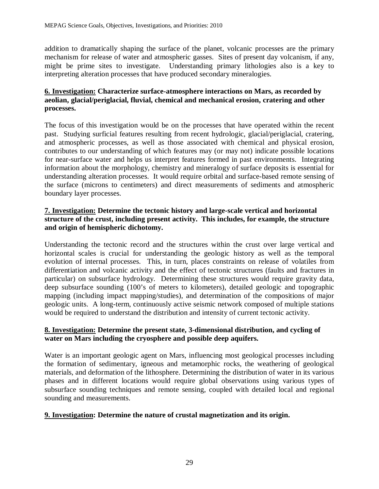addition to dramatically shaping the surface of the planet, volcanic processes are the primary mechanism for release of water and atmospheric gasses. Sites of present day volcanism, if any, might be prime sites to investigate. Understanding primary lithologies also is a key to interpreting alteration processes that have produced secondary mineralogies.

#### **6. Investigation: Characterize surface-atmosphere interactions on Mars, as recorded by aeolian, glacial/periglacial, fluvial, chemical and mechanical erosion, cratering and other processes.**

The focus of this investigation would be on the processes that have operated within the recent past. Studying surficial features resulting from recent hydrologic, glacial/periglacial, cratering, and atmospheric processes, as well as those associated with chemical and physical erosion, contributes to our understanding of which features may (or may not) indicate possible locations for near-surface water and helps us interpret features formed in past environments. Integrating information about the morphology, chemistry and mineralogy of surface deposits is essential for understanding alteration processes. It would require orbital and surface-based remote sensing of the surface (microns to centimeters) and direct measurements of sediments and atmospheric boundary layer processes.

#### **7. Investigation: Determine the tectonic history and large-scale vertical and horizontal structure of the crust, including present activity. This includes, for example, the structure and origin of hemispheric dichotomy.**

Understanding the tectonic record and the structures within the crust over large vertical and horizontal scales is crucial for understanding the geologic history as well as the temporal evolution of internal processes. This, in turn, places constraints on release of volatiles from differentiation and volcanic activity and the effect of tectonic structures (faults and fractures in particular) on subsurface hydrology. Determining these structures would require gravity data, deep subsurface sounding (100's of meters to kilometers), detailed geologic and topographic mapping (including impact mapping/studies), and determination of the compositions of major geologic units. A long-term, continuously active seismic network composed of multiple stations would be required to understand the distribution and intensity of current tectonic activity.

#### **8. Investigation: Determine the present state, 3-dimensional distribution, and cycling of water on Mars including the cryosphere and possible deep aquifers.**

Water is an important geologic agent on Mars, influencing most geological processes including the formation of sedimentary, igneous and metamorphic rocks, the weathering of geological materials, and deformation of the lithosphere. Determining the distribution of water in its various phases and in different locations would require global observations using various types of subsurface sounding techniques and remote sensing, coupled with detailed local and regional sounding and measurements.

#### **9. Investigation: Determine the nature of crustal magnetization and its origin.**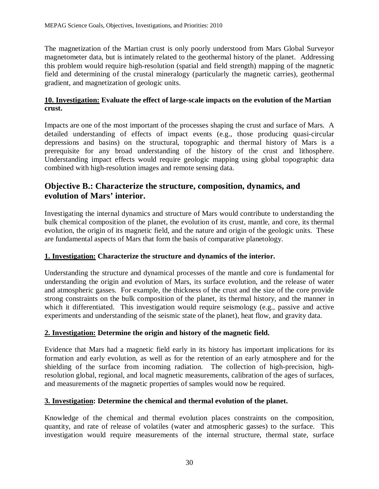The magnetization of the Martian crust is only poorly understood from Mars Global Surveyor magnetometer data, but is intimately related to the geothermal history of the planet. Addressing this problem would require high-resolution (spatial and field strength) mapping of the magnetic field and determining of the crustal mineralogy (particularly the magnetic carries), geothermal gradient, and magnetization of geologic units.

#### **10. Investigation: Evaluate the effect of large-scale impacts on the evolution of the Martian crust.**

Impacts are one of the most important of the processes shaping the crust and surface of Mars. A detailed understanding of effects of impact events (e.g., those producing quasi-circular depressions and basins) on the structural, topographic and thermal history of Mars is a prerequisite for any broad understanding of the history of the crust and lithosphere. Understanding impact effects would require geologic mapping using global topographic data combined with high-resolution images and remote sensing data.

# **Objective B.: Characterize the structure, composition, dynamics, and evolution of Mars' interior.**

Investigating the internal dynamics and structure of Mars would contribute to understanding the bulk chemical composition of the planet, the evolution of its crust, mantle, and core, its thermal evolution, the origin of its magnetic field, and the nature and origin of the geologic units. These are fundamental aspects of Mars that form the basis of comparative planetology.

### **1. Investigation: Characterize the structure and dynamics of the interior.**

Understanding the structure and dynamical processes of the mantle and core is fundamental for understanding the origin and evolution of Mars, its surface evolution, and the release of water and atmospheric gasses. For example, the thickness of the crust and the size of the core provide strong constraints on the bulk composition of the planet, its thermal history, and the manner in which it differentiated. This investigation would require seismology (e.g., passive and active experiments and understanding of the seismic state of the planet), heat flow, and gravity data.

#### **2. Investigation: Determine the origin and history of the magnetic field.**

Evidence that Mars had a magnetic field early in its history has important implications for its formation and early evolution, as well as for the retention of an early atmosphere and for the shielding of the surface from incoming radiation. The collection of high-precision, highresolution global, regional, and local magnetic measurements, calibration of the ages of surfaces, and measurements of the magnetic properties of samples would now be required.

#### **3. Investigation: Determine the chemical and thermal evolution of the planet.**

Knowledge of the chemical and thermal evolution places constraints on the composition, quantity, and rate of release of volatiles (water and atmospheric gasses) to the surface. This investigation would require measurements of the internal structure, thermal state, surface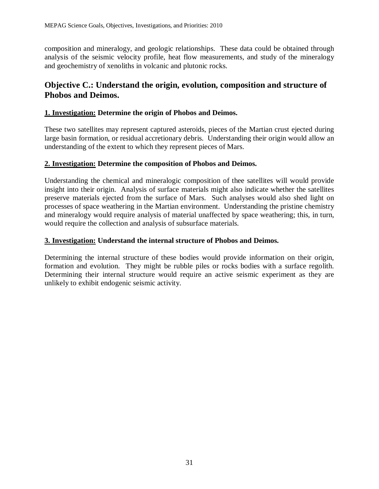composition and mineralogy, and geologic relationships. These data could be obtained through analysis of the seismic velocity profile, heat flow measurements, and study of the mineralogy and geochemistry of xenoliths in volcanic and plutonic rocks.

# **Objective C.: Understand the origin, evolution, composition and structure of Phobos and Deimos.**

#### **1. Investigation: Determine the origin of Phobos and Deimos.**

These two satellites may represent captured asteroids, pieces of the Martian crust ejected during large basin formation, or residual accretionary debris. Understanding their origin would allow an understanding of the extent to which they represent pieces of Mars.

#### **2. Investigation: Determine the composition of Phobos and Deimos.**

Understanding the chemical and mineralogic composition of thee satellites will would provide insight into their origin. Analysis of surface materials might also indicate whether the satellites preserve materials ejected from the surface of Mars. Such analyses would also shed light on processes of space weathering in the Martian environment. Understanding the pristine chemistry and mineralogy would require analysis of material unaffected by space weathering; this, in turn, would require the collection and analysis of subsurface materials.

#### **3. Investigation: Understand the internal structure of Phobos and Deimos.**

Determining the internal structure of these bodies would provide information on their origin, formation and evolution. They might be rubble piles or rocks bodies with a surface regolith. Determining their internal structure would require an active seismic experiment as they are unlikely to exhibit endogenic seismic activity.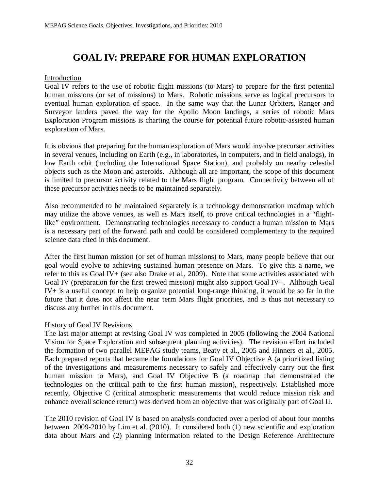# **GOAL IV: PREPARE FOR HUMAN EXPLORATION**

#### Introduction

Goal IV refers to the use of robotic flight missions (to Mars) to prepare for the first potential human missions (or set of missions) to Mars. Robotic missions serve as logical precursors to eventual human exploration of space. In the same way that the Lunar Orbiters, Ranger and Surveyor landers paved the way for the Apollo Moon landings, a series of robotic Mars Exploration Program missions is charting the course for potential future robotic-assisted human exploration of Mars.

It is obvious that preparing for the human exploration of Mars would involve precursor activities in several venues, including on Earth (e.g., in laboratories, in computers, and in field analogs), in low Earth orbit (including the International Space Station), and probably on nearby celestial objects such as the Moon and asteroids. Although all are important, the scope of this document is limited to precursor activity related to the Mars flight program. Connectivity between all of these precursor activities needs to be maintained separately.

Also recommended to be maintained separately is a technology demonstration roadmap which may utilize the above venues, as well as Mars itself, to prove critical technologies in a "flightlike" environment. Demonstrating technologies necessary to conduct a human mission to Mars is a necessary part of the forward path and could be considered complementary to the required science data cited in this document.

After the first human mission (or set of human missions) to Mars, many people believe that our goal would evolve to achieving sustained human presence on Mars. To give this a name, we refer to this as Goal IV+ (see also Drake et al., 2009). Note that some activities associated with Goal IV (preparation for the first crewed mission) might also support Goal IV+. Although Goal IV+ is a useful concept to help organize potential long-range thinking, it would be so far in the future that it does not affect the near term Mars flight priorities, and is thus not necessary to discuss any further in this document.

#### History of Goal IV Revisions

The last major attempt at revising Goal IV was completed in 2005 (following the 2004 National Vision for Space Exploration and subsequent planning activities). The revision effort included the formation of two parallel MEPAG study teams, Beaty et al., 2005 and Hinners et al., 2005. Each prepared reports that became the foundations for Goal IV Objective A (a prioritized listing of the investigations and measurements necessary to safely and effectively carry out the first human mission to Mars), and Goal IV Objective B (a roadmap that demonstrated the technologies on the critical path to the first human mission), respectively. Established more recently, Objective C (critical atmospheric measurements that would reduce mission risk and enhance overall science return) was derived from an objective that was originally part of Goal II.

The 2010 revision of Goal IV is based on analysis conducted over a period of about four months between 2009-2010 by Lim et al. (2010). It considered both (1) new scientific and exploration data about Mars and (2) planning information related to the Design Reference Architecture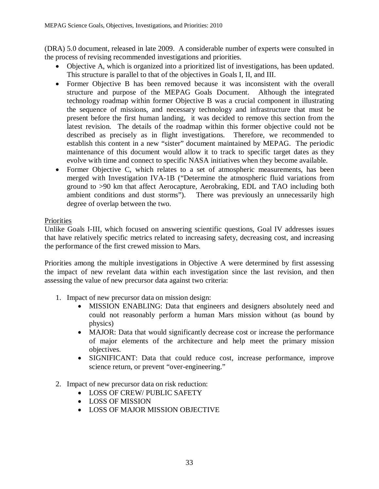(DRA) 5.0 document, released in late 2009. A considerable number of experts were consulted in the process of revising recommended investigations and priorities.

- Objective A, which is organized into a prioritized list of investigations, has been updated. This structure is parallel to that of the objectives in Goals I, II, and III.
- Former Objective B has been removed because it was inconsistent with the overall structure and purpose of the MEPAG Goals Document. Although the integrated technology roadmap within former Objective B was a crucial component in illustrating the sequence of missions, and necessary technology and infrastructure that must be present before the first human landing, it was decided to remove this section from the latest revision. The details of the roadmap within this former objective could not be described as precisely as in flight investigations. Therefore, we recommended to establish this content in a new "sister" document maintained by MEPAG. The periodic maintenance of this document would allow it to track to specific target dates as they evolve with time and connect to specific NASA initiatives when they become available.
- Former Objective C, which relates to a set of atmospheric measurements, has been merged with Investigation IVA-1B ("Determine the atmospheric fluid variations from ground to >90 km that affect Aerocapture, Aerobraking, EDL and TAO including both ambient conditions and dust storms"). There was previously an unnecessarily high degree of overlap between the two.

### **Priorities**

Unlike Goals I-III, which focused on answering scientific questions, Goal IV addresses issues that have relatively specific metrics related to increasing safety, decreasing cost, and increasing the performance of the first crewed mission to Mars.

Priorities among the multiple investigations in Objective A were determined by first assessing the impact of new revelant data within each investigation since the last revision, and then assessing the value of new precursor data against two criteria:

- 1. Impact of new precursor data on mission design:
	- MISSION ENABLING: Data that engineers and designers absolutely need and could not reasonably perform a human Mars mission without (as bound by physics)
	- MAJOR: Data that would significantly decrease cost or increase the performance of major elements of the architecture and help meet the primary mission objectives.
	- SIGNIFICANT: Data that could reduce cost, increase performance, improve science return, or prevent "over-engineering."
- 2. Impact of new precursor data on risk reduction:
	- LOSS OF CREW/ PUBLIC SAFETY
	- LOSS OF MISSION
	- LOSS OF MAJOR MISSION OBJECTIVE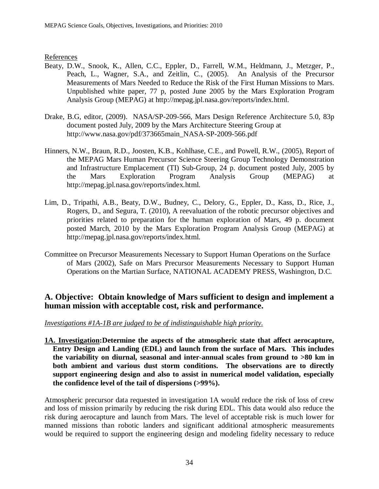References

- Beaty, D.W., Snook, K., Allen, C.C., Eppler, D., Farrell, W.M., Heldmann, J., Metzger, P., Peach, L., Wagner, S.A., and Zeitlin, C., (2005). An Analysis of the Precursor Measurements of Mars Needed to Reduce the Risk of the First Human Missions to Mars. Unpublished white paper, 77 p, posted June 2005 by the Mars Exploration Program Analysis Group (MEPAG) at http://mepag.jpl.nasa.gov/reports/index.html.
- Drake, B.G, editor, (2009). NASA/SP-209-566, Mars Design Reference Architecture 5.0, 83p document posted July, 2009 by the Mars Architecture Steering Group at http://www.nasa.gov/pdf/373665main\_NASA-SP-2009-566.pdf
- Hinners, N.W., Braun, R.D., Joosten, K.B., Kohlhase, C.E., and Powell, R.W., (2005), Report of the MEPAG Mars Human Precursor Science Steering Group Technology Demonstration and Infrastructure Emplacement (TI) Sub-Group, 24 p. document posted July, 2005 by the Mars Exploration Program Analysis Group (MEPAG) at http://mepag.jpl.nasa.gov/reports/index.html.
- Lim, D., Tripathi, A.B., Beaty, D.W., Budney, C., Delory, G., Eppler, D., Kass, D., Rice, J., Rogers, D., and Segura, T. (2010), A reevaluation of the robotic precursor objectives and priorities related to preparation for the human exploration of Mars, 49 p. document posted March, 2010 by the Mars Exploration Program Analysis Group (MEPAG) at http://mepag.jpl.nasa.gov/reports/index.html.
- Committee on Precursor Measurements Necessary to Support Human Operations on the Surface of Mars (2002), Safe on Mars Precursor Measurements Necessary to Support Human Operations on the Martian Surface, NATIONAL ACADEMY PRESS, Washington, D.C.

### **A. Objective: Obtain knowledge of Mars sufficient to design and implement a human mission with acceptable cost, risk and performance.**

*Investigations #1A-1B are judged to be of indistinguishable high priority.*

**1A. Investigation:Determine the aspects of the atmospheric state that affect aerocapture, Entry Design and Landing (EDL) and launch from the surface of Mars. This includes the variability on diurnal, seasonal and inter-annual scales from ground to >80 km in both ambient and various dust storm conditions. The observations are to directly support engineering design and also to assist in numerical model validation, especially the confidence level of the tail of dispersions (>99%).** 

Atmospheric precursor data requested in investigation 1A would reduce the risk of loss of crew and loss of mission primarily by reducing the risk during EDL. This data would also reduce the risk during aerocapture and launch from Mars. The level of acceptable risk is much lower for manned missions than robotic landers and significant additional atmospheric measurements would be required to support the engineering design and modeling fidelity necessary to reduce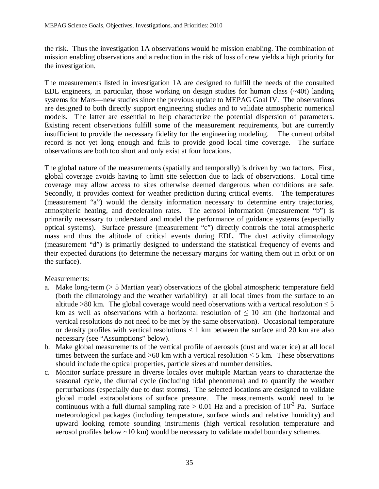the risk. Thus the investigation 1A observations would be mission enabling. The combination of mission enabling observations and a reduction in the risk of loss of crew yields a high priority for the investigation.

The measurements listed in investigation 1A are designed to fulfill the needs of the consulted EDL engineers, in particular, those working on design studies for human class (~40t) landing systems for Mars—new studies since the previous update to MEPAG Goal IV. The observations are designed to both directly support engineering studies and to validate atmospheric numerical models. The latter are essential to help characterize the potential dispersion of parameters. Existing recent observations fulfill some of the measurement requirements, but are currently insufficient to provide the necessary fidelity for the engineering modeling. The current orbital record is not yet long enough and fails to provide good local time coverage. The surface observations are both too short and only exist at four locations.

The global nature of the measurements (spatially and temporally) is driven by two factors. First, global coverage avoids having to limit site selection due to lack of observations. Local time coverage may allow access to sites otherwise deemed dangerous when conditions are safe. Secondly, it provides context for weather prediction during critical events. The temperatures (measurement "a") would the density information necessary to determine entry trajectories, atmospheric heating, and deceleration rates. The aerosol information (measurement "b") is primarily necessary to understand and model the performance of guidance systems (especially optical systems). Surface pressure (measurement "c") directly controls the total atmospheric mass and thus the altitude of critical events during EDL. The dust activity climatology (measurement "d") is primarily designed to understand the statistical frequency of events and their expected durations (to determine the necessary margins for waiting them out in orbit or on the surface).

#### Measurements:

- a. Make long-term (> 5 Martian year) observations of the global atmospheric temperature field (both the climatology and the weather variability) at all local times from the surface to an altitude >80 km. The global coverage would need observations with a vertical resolution  $\leq 5$ km as well as observations with a horizontal resolution of  $\leq 10$  km (the horizontal and vertical resolutions do not need to be met by the same observation). Occasional temperature or density profiles with vertical resolutions  $< 1$  km between the surface and 20 km are also necessary (see "Assumptions" below).
- b. Make global measurements of the vertical profile of aerosols (dust and water ice) at all local times between the surface and >60 km with a vertical resolution  $\leq$  5 km. These observations should include the optical properties, particle sizes and number densities.
- c. Monitor surface pressure in diverse locales over multiple Martian years to characterize the seasonal cycle, the diurnal cycle (including tidal phenomena) and to quantify the weather perturbations (especially due to dust storms). The selected locations are designed to validate global model extrapolations of surface pressure. The measurements would need to be continuous with a full diurnal sampling rate  $> 0.01$  Hz and a precision of  $10^{-2}$  Pa. Surface meteorological packages (including temperature, surface winds and relative humidity) and upward looking remote sounding instruments (high vertical resolution temperature and aerosol profiles below ~10 km) would be necessary to validate model boundary schemes.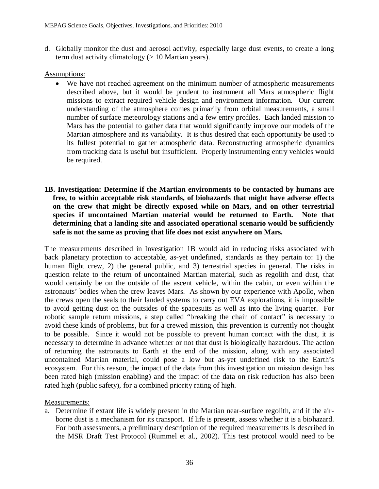d. Globally monitor the dust and aerosol activity, especially large dust events, to create a long term dust activity climatology (> 10 Martian years).

#### Assumptions:

- We have not reached agreement on the minimum number of atmospheric measurements described above, but it would be prudent to instrument all Mars atmospheric flight missions to extract required vehicle design and environment information. Our current understanding of the atmosphere comes primarily from orbital measurements, a small number of surface meteorology stations and a few entry profiles. Each landed mission to Mars has the potential to gather data that would significantly improve our models of the Martian atmosphere and its variability. It is thus desired that each opportunity be used to its fullest potential to gather atmospheric data. Reconstructing atmospheric dynamics from tracking data is useful but insufficient. Properly instrumenting entry vehicles would be required.
- **1B. Investigation: Determine if the Martian environments to be contacted by humans are free, to within acceptable risk standards, of biohazards that might have adverse effects on the crew that might be directly exposed while on Mars, and on other terrestrial species if uncontained Martian material would be returned to Earth. Note that determining that a landing site and associated operational scenario would be sufficiently safe is not the same as proving that life does not exist anywhere on Mars.**

The measurements described in Investigation 1B would aid in reducing risks associated with back planetary protection to acceptable, as-yet undefined, standards as they pertain to: 1) the human flight crew, 2) the general public, and 3) terrestrial species in general. The risks in question relate to the return of uncontained Martian material, such as regolith and dust, that would certainly be on the outside of the ascent vehicle, within the cabin, or even within the astronauts' bodies when the crew leaves Mars. As shown by our experience with Apollo, when the crews open the seals to their landed systems to carry out EVA explorations, it is impossible to avoid getting dust on the outsides of the spacesuits as well as into the living quarter. For robotic sample return missions, a step called "breaking the chain of contact" is necessary to avoid these kinds of problems, but for a crewed mission, this prevention is currently not thought to be possible. Since it would not be possible to prevent human contact with the dust, it is necessary to determine in advance whether or not that dust is biologically hazardous. The action of returning the astronauts to Earth at the end of the mission, along with any associated uncontained Martian material, could pose a low but as-yet undefined risk to the Earth's ecosystem. For this reason, the impact of the data from this investigation on mission design has been rated high (mission enabling) and the impact of the data on risk reduction has also been rated high (public safety), for a combined priority rating of high.

#### Measurements:

a. Determine if extant life is widely present in the Martian near-surface regolith, and if the airborne dust is a mechanism for its transport. If life is present, assess whether it is a biohazard. For both assessments, a preliminary description of the required measurements is described in the MSR Draft Test Protocol (Rummel et al., 2002). This test protocol would need to be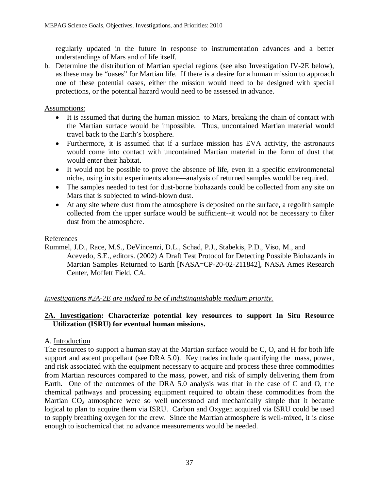regularly updated in the future in response to instrumentation advances and a better understandings of Mars and of life itself.

b. Determine the distribution of Martian special regions (see also Investigation IV-2E below), as these may be "oases" for Martian life. If there is a desire for a human mission to approach one of these potential oases, either the mission would need to be designed with special protections, or the potential hazard would need to be assessed in advance.

Assumptions:

- It is assumed that during the human mission to Mars, breaking the chain of contact with the Martian surface would be impossible. Thus, uncontained Martian material would travel back to the Earth's biosphere.
- Furthermore, it is assumed that if a surface mission has EVA activity, the astronauts would come into contact with uncontained Martian material in the form of dust that would enter their habitat.
- It would not be possible to prove the absence of life, even in a specific environmenetal niche, using in situ experiments alone—analysis of returned samples would be required.
- The samples needed to test for dust-borne biohazards could be collected from any site on Mars that is subjected to wind-blown dust.
- At any site where dust from the atmosphere is deposited on the surface, a regolith sample collected from the upper surface would be sufficient--it would not be necessary to filter dust from the atmosphere.

#### References

Rummel, J.D., Race, M.S., DeVincenzi, D.L., Schad, P.J., Stabekis, P.D., Viso, M., and Acevedo, S.E., editors. (2002) A Draft Test Protocol for Detecting Possible Biohazards in Martian Samples Returned to Earth [NASA=CP-20-02-211842], NASA Ames Research Center, Moffett Field, CA.

#### *Investigations #2A-2E are judged to be of indistinguishable medium priority.*

#### **2A. Investigation: Characterize potential key resources to support In Situ Resource Utilization (ISRU) for eventual human missions.**

#### A. Introduction

The resources to support a human stay at the Martian surface would be C, O, and H for both life support and ascent propellant (see DRA 5.0). Key trades include quantifying the mass, power, and risk associated with the equipment necessary to acquire and process these three commodities from Martian resources compared to the mass, power, and risk of simply delivering them from Earth. One of the outcomes of the DRA 5.0 analysis was that in the case of C and O, the chemical pathways and processing equipment required to obtain these commodities from the Martian  $CO<sub>2</sub>$  atmosphere were so well understood and mechanically simple that it became logical to plan to acquire them via ISRU. Carbon and Oxygen acquired via ISRU could be used to supply breathing oxygen for the crew. Since the Martian atmosphere is well-mixed, it is close enough to isochemical that no advance measurements would be needed.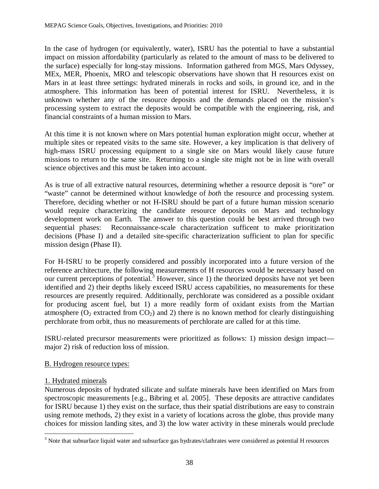In the case of hydrogen (or equivalently, water), ISRU has the potential to have a substantial impact on mission affordability (particularly as related to the amount of mass to be delivered to the surface) especially for long-stay missions. Information gathered from MGS, Mars Odyssey, MEx, MER, Phoenix, MRO and telescopic observations have shown that H resources exist on Mars in at least three settings: hydrated minerals in rocks and soils, in ground ice, and in the atmosphere. This information has been of potential interest for ISRU. Nevertheless, it is unknown whether any of the resource deposits and the demands placed on the mission's processing system to extract the deposits would be compatible with the engineering, risk, and financial constraints of a human mission to Mars.

At this time it is not known where on Mars potential human exploration might occur, whether at multiple sites or repeated visits to the same site. However, a key implication is that delivery of high-mass ISRU processing equipment to a single site on Mars would likely cause future missions to return to the same site. Returning to a single site might not be in line with overall science objectives and this must be taken into account.

As is true of all extractive natural resources, determining whether a resource deposit is "ore" or "waste" cannot be determined without knowledge of *both* the resource and processing system. Therefore, deciding whether or not H-ISRU should be part of a future human mission scenario would require characterizing the candidate resource deposits on Mars and technology development work on Earth. The answer to this question could be best arrived through two sequential phases: Reconnaissance-scale characterization sufficent to make prioritization decisions (Phase I) and a detailed site-specific characterization sufficient to plan for specific mission design (Phase II).

For H-ISRU to be properly considered and possibly incorporated into a future version of the reference architecture, the following measurements of H resources would be necessary based on our current perceptions of potential.<sup>3</sup> However, since 1) the theorized deposits have not yet been identified and 2) their depths likely exceed ISRU access capabilities, no measurements for these resources are presently required. Additionally, perchlorate was considered as a possible oxidant for producing ascent fuel, but 1) a more readily form of oxidant exists from the Martian atmosphere  $(O_2$  extracted from  $CO_2$ ) and 2) there is no known method for clearly distinguishing perchlorate from orbit, thus no measurements of perchlorate are called for at this time.

ISRU-related precursor measurements were prioritized as follows: 1) mission design impact major 2) risk of reduction loss of mission.

### B. Hydrogen resource types:

#### 1. Hydrated minerals

Numerous deposits of hydrated silicate and sulfate minerals have been identified on Mars from spectroscopic measurements [e.g., Bibring et al. 2005]. These deposits are attractive candidates for ISRU because 1) they exist on the surface, thus their spatial distributions are easy to constrain using remote methods, 2) they exist in a variety of locations across the globe, thus provide many choices for mission landing sites, and 3) the low water activity in these minerals would preclude

<sup>&</sup>lt;sup>3</sup> Note that subsurface liquid water and subsurface gas hydrates/clathrates were considered as potential H resources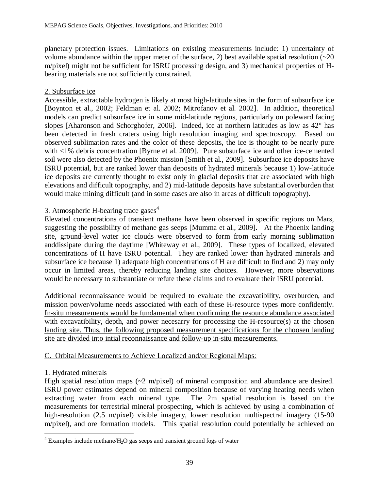planetary protection issues. Limitations on existing measurements include: 1) uncertainty of volume abundance within the upper meter of the surface, 2) best available spatial resolution  $\left($  -20 m/pixel) might not be sufficient for ISRU processing design, and 3) mechanical properties of Hbearing materials are not sufficiently constrained.

#### 2. Subsurface ice

Accessible, extractable hydrogen is likely at most high-latitude sites in the form of subsurface ice [Boynton et al., 2002; Feldman et al. 2002; Mitrofanov et al. 2002]. In addition, theoretical models can predict subsurface ice in some mid-latitude regions, particularly on poleward facing slopes [Aharonson and Schorghofer, 2006]. Indeed, ice at northern latitudes as low as 42° has been detected in fresh craters using high resolution imaging and spectroscopy. Based on observed sublimation rates and the color of these deposits, the ice is thought to be nearly pure with <1% debris concentration [Byrne et al. 2009]. Pure subsurface ice and other ice-cemented soil were also detected by the Phoenix mission [Smith et al., 2009]. Subsurface ice deposits have ISRU potential, but are ranked lower than deposits of hydrated minerals because 1) low-latitude ice deposits are currently thought to exist only in glacial deposits that are associated with high elevations and difficult topography, and 2) mid-latitude deposits have substantial overburden that would make mining difficult (and in some cases are also in areas of difficult topography).

#### 3. Atmospheric H-bearing trace gases $4$

Elevated concentrations of transient methane have been observed in specific regions on Mars, suggesting the possibility of methane gas seeps [Mumma et al., 2009]. At the Phoenix landing site, ground-level water ice clouds were observed to form from early morning sublimation anddissipate during the daytime [Whiteway et al., 2009]. These types of localized, elevated concentrations of H have ISRU potential. They are ranked lower than hydrated minerals and subsurface ice because 1) adequate high concentrations of H are difficult to find and 2) may only occur in limited areas, thereby reducing landing site choices. However, more observations would be necessary to substantiate or refute these claims and to evaluate their ISRU potential.

Additional reconnaissance would be required to evaluate the excavatibility, overburden, and mission power/volume needs associated with each of these H-resource types more confidently. In-situ measurements would be fundamental when confirming the resource abundance associated with excavatibility, depth, and power necesarry for processing the H-resource(s) at the chosen landing site. Thus, the following proposed measurement specifications for the choosen landing site are divided into intial reconnaissance and follow-up in-situ measurements.

#### C. Orbital Measurements to Achieve Localized and/or Regional Maps:

### 1. Hydrated minerals

High spatial resolution maps  $(\sim 2 \text{ m/pixel})$  of mineral composition and abundance are desired. ISRU power estimates depend on mineral composition because of varying heating needs when extracting water from each mineral type. The 2m spatial resolution is based on the measurements for terrestrial mineral prospecting, which is achieved by using a combination of high-resolution (2.5 m/pixel) visible imagery, lower resolution multispectral imagery (15-90 m/pixel), and ore formation models. This spatial resolution could potentially be achieved on

 4 Examples include methane/H2O gas seeps and transient ground fogs of water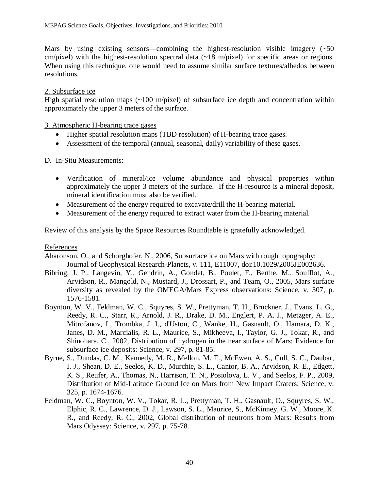Mars by using existing sensors—combining the highest-resolution visible imagery (~50) cm/pixel) with the highest-resolution spectral data (~18 m/pixel) for specific areas or regions. When using this technique, one would need to assume similar surface textures/albedos between resolutions.

#### 2. Subsurface ice

High spatial resolution maps  $(\sim 100 \text{ m/pixel})$  of subsurface ice depth and concentration within approximately the upper 3 meters of the surface.

#### 3. Atmospheric H-bearing trace gases

- Higher spatial resolution maps (TBD resolution) of H-bearing trace gases.
- Assessment of the temporal (annual, seasonal, daily) variability of these gases.

#### D. In-Situ Measurements:

- Verification of mineral/ice volume abundance and physical properties within approximately the upper 3 meters of the surface. If the H-resource is a mineral deposit, mineral identification must also be verified.
- Measurement of the energy required to excavate/drill the H-bearing material.
- Measurement of the energy required to extract water from the H-bearing material.

Review of this analysis by the Space Resources Roundtable is gratefully acknowledged.

#### **References**

Aharonson, O., and Schorghofer, N., 2006, Subsurface ice on Mars with rough topography: Journal of Geophysical Research-Planets, v. 111, E11007, doi:10.1029/2005JE002636.

- Bibring, J. P., Langevin, Y., Gendrin, A., Gondet, B., Poulet, F., Berthe, M., Soufflot, A., Arvidson, R., Mangold, N., Mustard, J., Drossart, P., and Team, O., 2005, Mars surface diversity as revealed by the OMEGA/Mars Express observations: Science, v. 307, p. 1576-1581.
- Boynton, W. V., Feldman, W. C., Squyres, S. W., Prettyman, T. H., Bruckner, J., Evans, L. G., Reedy, R. C., Starr, R., Arnold, J. R., Drake, D. M., Englert, P. A. J., Metzger, A. E., Mitrofanov, I., Trombka, J. I., d'Uston, C., Wanke, H., Gasnault, O., Hamara, D. K., Janes, D. M., Marcialis, R. L., Maurice, S., Mikheeva, I., Taylor, G. J., Tokar, R., and Shinohara, C., 2002, Distribution of hydrogen in the near surface of Mars: Evidence for subsurface ice deposits: Science, v. 297, p. 81-85.
- Byrne, S., Dundas, C. M., Kennedy, M. R., Mellon, M. T., McEwen, A. S., Cull, S. C., Daubar, I. J., Shean, D. E., Seelos, K. D., Murchie, S. L., Cantor, B. A., Arvidson, R. E., Edgett, K. S., Reufer, A., Thomas, N., Harrison, T. N., Posiolova, L. V., and Seelos, F. P., 2009, Distribution of Mid-Latitude Ground Ice on Mars from New Impact Craters: Science, v. 325, p. 1674-1676.
- Feldman, W. C., Boynton, W. V., Tokar, R. L., Prettyman, T. H., Gasnault, O., Squyres, S. W., Elphic, R. C., Lawrence, D. J., Lawson, S. L., Maurice, S., McKinney, G. W., Moore, K. R., and Reedy, R. C., 2002, Global distribution of neutrons from Mars: Results from Mars Odyssey: Science, v. 297, p. 75-78.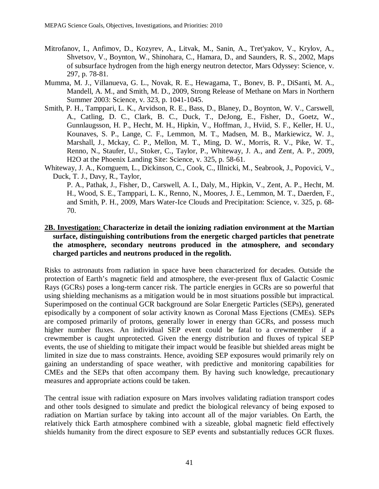- Mitrofanov, I., Anfimov, D., Kozyrev, A., Litvak, M., Sanin, A., Tret'yakov, V., Krylov, A., Shvetsov, V., Boynton, W., Shinohara, C., Hamara, D., and Saunders, R. S., 2002, Maps of subsurface hydrogen from the high energy neutron detector, Mars Odyssey: Science, v. 297, p. 78-81.
- Mumma, M. J., Villanueva, G. L., Novak, R. E., Hewagama, T., Bonev, B. P., DiSanti, M. A., Mandell, A. M., and Smith, M. D., 2009, Strong Release of Methane on Mars in Northern Summer 2003: Science, v. 323, p. 1041-1045.
- Smith, P. H., Tamppari, L. K., Arvidson, R. E., Bass, D., Blaney, D., Boynton, W. V., Carswell, A., Catling, D. C., Clark, B. C., Duck, T., DeJong, E., Fisher, D., Goetz, W., Gunnlaugsson, H. P., Hecht, M. H., Hipkin, V., Hoffman, J., Hviid, S. F., Keller, H. U., Kounaves, S. P., Lange, C. F., Lemmon, M. T., Madsen, M. B., Markiewicz, W. J., Marshall, J., Mckay, C. P., Mellon, M. T., Ming, D. W., Morris, R. V., Pike, W. T., Renno, N., Staufer, U., Stoker, C., Taylor, P., Whiteway, J. A., and Zent, A. P., 2009, H2O at the Phoenix Landing Site: Science, v. 325, p. 58-61.
- Whiteway, J. A., Komguem, L., Dickinson, C., Cook, C., Illnicki, M., Seabrook, J., Popovici, V., Duck, T. J., Davy, R., Taylor,

P. A., Pathak, J., Fisher, D., Carswell, A. I., Daly, M., Hipkin, V., Zent, A. P., Hecht, M. H., Wood, S. E., Tamppari, L. K., Renno, N., Moores, J. E., Lemmon, M. T., Daerden, F., and Smith, P. H., 2009, Mars Water-Ice Clouds and Precipitation: Science, v. 325, p. 68- 70.

#### **2B. Investigation: Characterize in detail the ionizing radiation environment at the Martian surface, distinguishing contributions from the energetic charged particles that penetrate the atmosphere, secondary neutrons produced in the atmosphere, and secondary charged particles and neutrons produced in the regolith.**

Risks to astronauts from radiation in space have been characterized for decades. Outside the protection of Earth's magnetic field and atmosphere, the ever-present flux of Galactic Cosmic Rays (GCRs) poses a long-term cancer risk. The particle energies in GCRs are so powerful that using shielding mechanisms as a mitigation would be in most situations possible but impractical. Superimposed on the continual GCR background are Solar Energetic Particles (SEPs), generated episodically by a component of solar activity known as Coronal Mass Ejections (CMEs). SEPs are composed primarily of protons, generally lower in energy than GCRs, and possess much higher number fluxes. An individual SEP event could be fatal to a crewmember if a crewmember is caught unprotected. Given the energy distribution and fluxes of typical SEP events, the use of shielding to mitigate their impact would be feasible but shielded areas might be limited in size due to mass constraints. Hence, avoiding SEP exposures would primarily rely on gaining an understanding of space weather, with predictive and monitoring capabilities for CMEs and the SEPs that often accompany them. By having such knowledge, precautionary measures and appropriate actions could be taken.

The central issue with radiation exposure on Mars involves validating radiation transport codes and other tools designed to simulate and predict the biological relevancy of being exposed to radiation on Martian surface by taking into account all of the major variables. On Earth, the relatively thick Earth atmosphere combined with a sizeable, global magnetic field effectively shields humanity from the direct exposure to SEP events and substantially reduces GCR fluxes.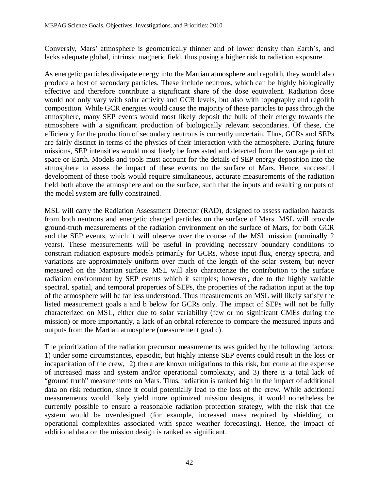Conversly, Mars' atmosphere is geometrically thinner and of lower density than Earth's, and lacks adequate global, intrinsic magnetic field, thus posing a higher risk to radiation exposure.

As energetic particles dissipate energy into the Martian atmosphere and regolith, they would also produce a host of secondary particles. These include neutrons, which can be highly biologically effective and therefore contribute a significant share of the dose equivalent. Radiation dose would not only vary with solar activity and GCR levels, but also with topography and regolith composition. While GCR energies would cause the majority of these particles to pass through the atmosphere, many SEP events would most likely deposit the bulk of their energy towards the atmosphere with a significant production of biologically relevant secondaries. Of these, the efficiency for the production of secondary neutrons is currently uncertain. Thus, GCRs and SEPs are fairly distinct in terms of the physics of their interaction with the atmosphere. During future missions, SEP intensities would most likely be forecasted and detected from the vantage point of space or Earth. Models and tools must account for the details of SEP energy deposition into the atmosphere to assess the impact of these events on the surface of Mars. Hence, successful development of these tools would require simultaneous, accurate measurements of the radiation field both above the atmosphere and on the surface, such that the inputs and resulting outputs of the model system are fully constrained.

MSL will carry the Radiation Assessment Detector (RAD), designed to assess radiation hazards from both neutrons and energetic charged particles on the surface of Mars. MSL will provide ground-truth measurements of the radiation environment on the surface of Mars, for both GCR and the SEP events, which it will observe over the course of the MSL mission (nominally 2 years). These measurements will be useful in providing necessary boundary conditions to constrain radiation exposure models primarily for GCRs, whose input flux, energy spectra, and variations are approximately uniform over much of the length of the solar system, but never measured on the Martian surface. MSL will also characterize the contribution to the surface radiation environment by SEP events which it samples; however, due to the highly variable spectral, spatial, and temporal properties of SEPs, the properties of the radiation input at the top of the atmosphere will be far less understood. Thus measurements on MSL will likely satisfy the listed measurement goals a and b below for GCRs only. The impact of SEPs will not be fully characterized on MSL, either due to solar variability (few or no significant CMEs during the mission) or more importantly, a lack of an orbital reference to compare the measured inputs and outputs from the Martian atmosphere (measurement goal c).

The prioritization of the radiation precursor measurements was guided by the following factors: 1) under some circumstances, episodic, but highly intense SEP events could result in the loss or incapacitation of the crew, 2) there are known mitigations to this risk, but come at the expense of increased mass and system and/or operational complexity, and 3) there is a total lack of "ground truth" measurements on Mars. Thus, radiation is ranked high in the impact of additional data on risk reduction, since it could potentially lead to the loss of the crew. While additional measurements would likely yield more optimized mission designs, it would nonetheless be currently possible to ensure a reasonable radiation protection strategy, with the risk that the system would be overdesigned (for example, increased mass required by shielding, or operational complexities associated with space weather forecasting). Hence, the impact of additional data on the mission design is ranked as significant.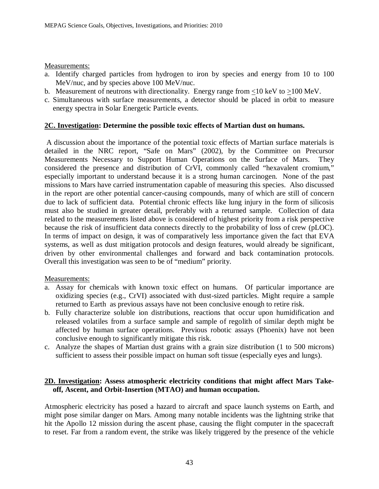#### Measurements:

- a. Identify charged particles from hydrogen to iron by species and energy from 10 to 100 MeV/nuc, and by species above 100 MeV/nuc.
- b. Measurement of neutrons with directionality. Energy range from  $\leq 10$  keV to  $\geq 100$  MeV.
- c. Simultaneous with surface measurements, a detector should be placed in orbit to measure energy spectra in Solar Energetic Particle events.

#### **2C. Investigation: Determine the possible toxic effects of Martian dust on humans.**

A discussion about the importance of the potential toxic effects of Martian surface materials is detailed in the NRC report, "Safe on Mars" (2002), by the Committee on Precursor Measurements Necessary to Support Human Operations on the Surface of Mars. They considered the presence and distribution of CrVI, commonly called "hexavalent cromium," especially important to understand because it is a strong human carcinogen. None of the past missions to Mars have carried instrumentation capable of measuring this species. Also discussed in the report are other potential cancer-causing compounds, many of which are still of concern due to lack of sufficient data. Potential chronic effects like lung injury in the form of silicosis must also be studied in greater detail, preferably with a returned sample. Collection of data related to the measurements listed above is considered of highest priority from a risk perspective because the risk of insufficient data connects directly to the probability of loss of crew (pLOC). In terms of impact on design, it was of comparatively less importance given the fact that EVA systems, as well as dust mitigation protocols and design features, would already be significant, driven by other environmental challenges and forward and back contamination protocols. Overall this investigation was seen to be of "medium" priority.

#### Measurements:

- a. Assay for chemicals with known toxic effect on humans. Of particular importance are oxidizing species (e.g., CrVI) associated with dust-sized particles. Might require a sample returned to Earth as previous assays have not been conclusive enough to retire risk.
- b. Fully characterize soluble ion distributions, reactions that occur upon humidification and released volatiles from a surface sample and sample of regolith of similar depth might be affected by human surface operations. Previous robotic assays (Phoenix) have not been conclusive enough to significantly mitigate this risk.
- c. Analyze the shapes of Martian dust grains with a grain size distribution (1 to 500 microns) sufficient to assess their possible impact on human soft tissue (especially eyes and lungs).

#### **2D. Investigation: Assess atmospheric electricity conditions that might affect Mars Takeoff, Ascent, and Orbit-Insertion (MTAO) and human occupation.**

Atmospheric electricity has posed a hazard to aircraft and space launch systems on Earth, and might pose similar danger on Mars. Among many notable incidents was the lightning strike that hit the Apollo 12 mission during the ascent phase, causing the flight computer in the spacecraft to reset. Far from a random event, the strike was likely triggered by the presence of the vehicle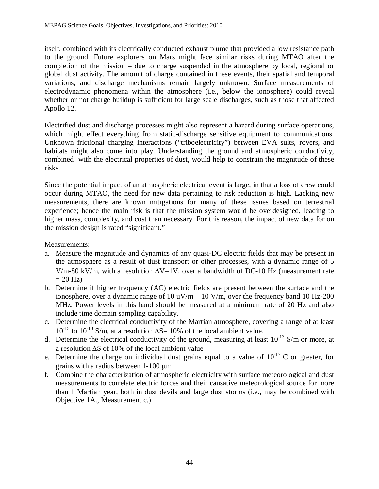itself, combined with its electrically conducted exhaust plume that provided a low resistance path to the ground. Future explorers on Mars might face similar risks during MTAO after the completion of the mission – due to charge suspended in the atmosphere by local, regional or global dust activity. The amount of charge contained in these events, their spatial and temporal variations, and discharge mechanisms remain largely unknown. Surface measurements of electrodynamic phenomena within the atmosphere (i.e., below the ionosphere) could reveal whether or not charge buildup is sufficient for large scale discharges, such as those that affected Apollo 12.

Electrified dust and discharge processes might also represent a hazard during surface operations, which might effect everything from static-discharge sensitive equipment to communications. Unknown frictional charging interactions ("triboelectricity") between EVA suits, rovers, and habitats might also come into play. Understanding the ground and atmospheric conductivity, combined with the electrical properties of dust, would help to constrain the magnitude of these risks.

Since the potential impact of an atmospheric electrical event is large, in that a loss of crew could occur during MTAO, the need for new data pertaining to risk reduction is high. Lacking new measurements, there are known mitigations for many of these issues based on terrestrial experience; hence the main risk is that the mission system would be overdesigned, leading to higher mass, complexity, and cost than necessary. For this reason, the impact of new data for on the mission design is rated "significant."

#### Measurements:

- a. Measure the magnitude and dynamics of any quasi-DC electric fields that may be present in the atmosphere as a result of dust transport or other processes, with a dynamic range of 5 V/m-80 kV/m, with a resolution  $\Delta V=1V$ , over a bandwidth of DC-10 Hz (measurement rate  $= 20$  Hz)
- b. Determine if higher frequency (AC) electric fields are present between the surface and the ionosphere, over a dynamic range of  $10 \text{ uV/m} - 10 \text{ V/m}$ , over the frequency band 10 Hz-200 MHz. Power levels in this band should be measured at a minimum rate of 20 Hz and also include time domain sampling capability.
- c. Determine the electrical conductivity of the Martian atmosphere, covering a range of at least  $10^{-15}$  to  $10^{-10}$  S/m, at a resolution  $\Delta S = 10\%$  of the local ambient value.
- d. Determine the electrical conductivity of the ground, measuring at least  $10^{-13}$  S/m or more, at a resolution ∆S of 10% of the local ambient value
- e. Determine the charge on individual dust grains equal to a value of  $10^{-17}$  C or greater, for grains with a radius between 1-100 µm
- f. Combine the characterization of atmospheric electricity with surface meteorological and dust measurements to correlate electric forces and their causative meteorological source for more than 1 Martian year, both in dust devils and large dust storms (i.e., may be combined with Objective 1A., Measurement c.)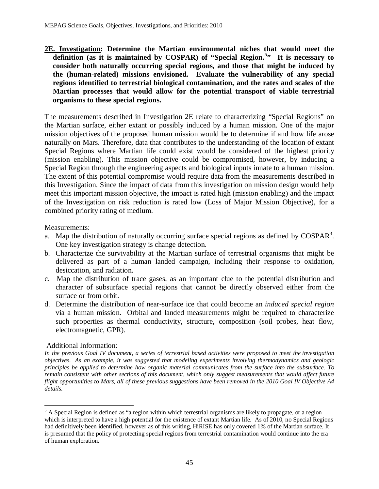**2E. Investigation: Determine the Martian environmental niches that would meet the definition (as it is maintained by COSPAR) of "Special Region.<sup>5</sup> " It is necessary to consider both naturally occurring special regions, and those that might be induced by the (human-related) missions envisioned. Evaluate the vulnerability of any special regions identified to terrestrial biological contamination, and the rates and scales of the Martian processes that would allow for the potential transport of viable terrestrial organisms to these special regions.** 

The measurements described in Investigation 2E relate to characterizing "Special Regions" on the Martian surface, either extant or possibly induced by a human mission. One of the major mission objectives of the proposed human mission would be to determine if and how life arose naturally on Mars. Therefore, data that contributes to the understanding of the location of extant Special Regions where Martian life could exist would be considered of the highest priority (mission enabling). This mission objective could be compromised, however, by inducing a Special Region through the engineering aspects and biological inputs innate to a human mission. The extent of this potential compromise would require data from the measurements described in this Investigation. Since the impact of data from this investigation on mission design would help meet this important mission objective, the impact is rated high (mission enabling) and the impact of the Investigation on risk reduction is rated low (Loss of Major Mission Objective), for a combined priority rating of medium.

#### Measurements:

- a. Map the distribution of naturally occurring surface special regions as defined by  $COSPAR<sup>3</sup>$ . One key investigation strategy is change detection.
- b. Characterize the survivability at the Martian surface of terrestrial organisms that might be delivered as part of a human landed campaign, including their response to oxidation, desiccation, and radiation.
- c. Map the distribution of trace gases, as an important clue to the potential distribution and character of subsurface special regions that cannot be directly observed either from the surface or from orbit.
- d. Determine the distribution of near-surface ice that could become an *induced special region* via a human mission. Orbital and landed measurements might be required to characterize such properties as thermal conductivity, structure, composition (soil probes, heat flow, electromagnetic, GPR).

#### Additional Information:

*In the previous Goal IV document, a series of terrestrial based activities were proposed to meet the investigation objectives. As an example, it was suggested that modeling experiments involving thermodynamics and geologic principles be applied to determine how organic material communicates from the surface into the subsurface. To remain consistent with other sections of this document, which only suggest measurements that would affect future flight opportunities to Mars, all of these previous suggestions have been removed in the 2010 Goal IV Objective A4 details.*

 5 A Special Region is defined as "a region within which terrestrial organisms are likely to propagate, or a region which is interpreted to have a high potential for the existence of extant Martian life. As of 2010, no Special Regions had definitively been identified, however as of this writing, HiRISE has only covered 1% of the Martian surface. It is presumed that the policy of protecting special regions from terrestrial contamination would continue into the era of human exploration.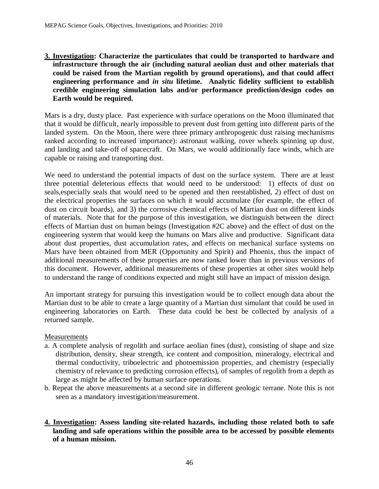**3. Investigation: Characterize the particulates that could be transported to hardware and infrastructure through the air (including natural aeolian dust and other materials that could be raised from the Martian regolith by ground operations), and that could affect engineering performance and** *in situ* **lifetime. Analytic fidelity sufficient to establish credible engineering simulation labs and/or performance prediction/design codes on Earth would be required.** 

Mars is a dry, dusty place. Past experience with surface operations on the Moon illuminated that that it would be difficult, nearly impossible to prevent dust from getting into different parts of the landed system. On the Moon, there were three primary anthropogenic dust raising mechanisms ranked according to increased importance): astronaut walking, rover wheels spinning up dust, and landing and take-off of spacecraft. On Mars, we would additionally face winds, which are capable or raising and transporting dust.

We need to understand the potential impacts of dust on the surface system. There are at least three potential deleterious effects that would need to be understood: 1) effects of dust on seals,especially seals that would need to be opened and then reestablished, 2) effect of dust on the electrical properties the surfaces on which it would accumulate (for example, the effect of dust on circuit boards), and 3) the corrosive chemical effects of Martian dust on different kinds of materials. Note that for the purpose of this investigation, we distinguish between the direct effects of Martian dust on human beings (Investigation #2C above) and the effect of dust on the engineering system that would keep the humans on Mars alive and productive. Significant data about dust properties, dust accumulation rates, and effects on mechanical surface systems on Mars have been obtained from MER (Opportunity and Spirit) and Phoenix, thus the impact of additional measurements of these properties are now ranked lower than in previous versions of this document. However, additional measurements of these properties at other sites would help to understand the range of conditions expected and might still have an impact of mission design.

An important strategy for pursuing this investigation would be to collect enough data about the Martian dust to be able to create a large quantity of a Martian dust simulant that could be used in engineering laboratories on Earth. These data could be best be collected by analysis of a returned sample.

#### Measurements

- a. A complete analysis of regolith and surface aeolian fines (dust), consisting of shape and size distribution, density, shear strength, ice content and composition, mineralogy, electrical and thermal conductivity, triboelectric and photoemission properties, and chemistry (especially chemistry of relevance to predicting corrosion effects), of samples of regolith from a depth as large as might be affected by human surface operations.
- b. Repeat the above measurements at a second site in different geologic terrane. Note this is not seen as a mandatory investigation/measurement.
- **4. Investigation: Assess landing site-related hazards, including those related both to safe landing and safe operations within the possible area to be accessed by possible elements of a human mission.**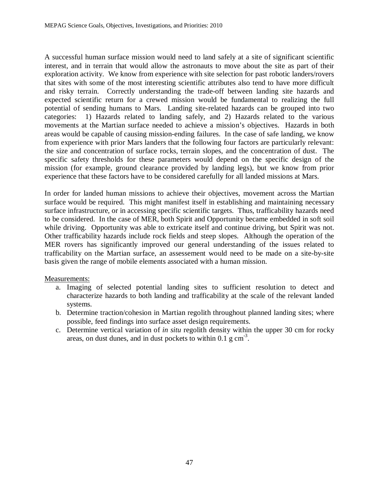A successful human surface mission would need to land safely at a site of significant scientific interest, and in terrain that would allow the astronauts to move about the site as part of their exploration activity. We know from experience with site selection for past robotic landers/rovers that sites with some of the most interesting scientific attributes also tend to have more difficult and risky terrain. Correctly understanding the trade-off between landing site hazards and expected scientific return for a crewed mission would be fundamental to realizing the full potential of sending humans to Mars. Landing site-related hazards can be grouped into two categories: 1) Hazards related to landing safely, and 2) Hazards related to the various movements at the Martian surface needed to achieve a mission's objectives. Hazards in both areas would be capable of causing mission-ending failures. In the case of safe landing, we know from experience with prior Mars landers that the following four factors are particularly relevant: the size and concentration of surface rocks, terrain slopes, and the concentration of dust. The specific safety thresholds for these parameters would depend on the specific design of the mission (for example, ground clearance provided by landing legs), but we know from prior experience that these factors have to be considered carefully for all landed missions at Mars.

In order for landed human missions to achieve their objectives, movement across the Martian surface would be required. This might manifest itself in establishing and maintaining necessary surface infrastructure, or in accessing specific scientific targets. Thus, trafficability hazards need to be considered. In the case of MER, both Spirit and Opportunity became embedded in soft soil while driving. Opportunity was able to extricate itself and continue driving, but Spirit was not. Other trafficability hazards include rock fields and steep slopes. Although the operation of the MER rovers has significantly improved our general understanding of the issues related to trafficability on the Martian surface, an assessement would need to be made on a site-by-site basis given the range of mobile elements associated with a human mission.

#### Measurements:

- a. Imaging of selected potential landing sites to sufficient resolution to detect and characterize hazards to both landing and trafficability at the scale of the relevant landed systems.
- b. Determine traction/cohesion in Martian regolith throughout planned landing sites; where possible, feed findings into surface asset design requirements.
- c. Determine vertical variation of *in situ* regolith density within the upper 30 cm for rocky areas, on dust dunes, and in dust pockets to within  $0.1 \text{ g cm}^{-3}$ .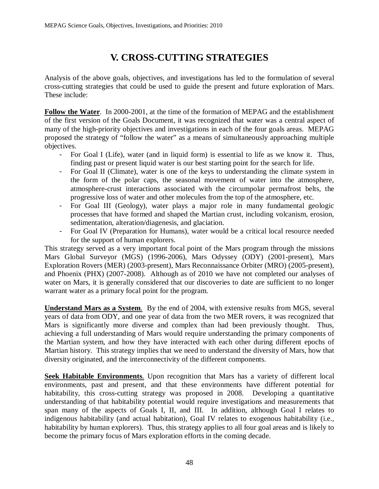# **V. CROSS-CUTTING STRATEGIES**

Analysis of the above goals, objectives, and investigations has led to the formulation of several cross-cutting strategies that could be used to guide the present and future exploration of Mars. These include:

**Follow the Water**. In 2000-2001, at the time of the formation of MEPAG and the establishment of the first version of the Goals Document, it was recognized that water was a central aspect of many of the high-priority objectives and investigations in each of the four goals areas. MEPAG proposed the strategy of "follow the water" as a means of simultaneously approaching multiple objectives.

- For Goal I (Life), water (and in liquid form) is essential to life as we know it. Thus, finding past or present liquid water is our best starting point for the search for life.
- For Goal II (Climate), water is one of the keys to understanding the climate system in the form of the polar caps, the seasonal movement of water into the atmosphere, atmosphere-crust interactions associated with the circumpolar permafrost belts, the progressive loss of water and other molecules from the top of the atmosphere, etc.
- For Goal III (Geology), water plays a major role in many fundamental geologic processes that have formed and shaped the Martian crust, including volcanism, erosion, sedimentation, alteration/diagenesis, and glaciation.
- For Goal IV (Preparation for Humans), water would be a critical local resource needed for the support of human explorers.

This strategy served as a very important focal point of the Mars program through the missions Mars Global Surveyor (MGS) (1996-2006), Mars Odyssey (ODY) (2001-present), Mars Exploration Rovers (MER) (2003-present), Mars Reconnaissance Orbiter (MRO) (2005-present), and Phoenix (PHX) (2007-2008). Although as of 2010 we have not completed our analyses of water on Mars, it is generally considered that our discoveries to date are sufficient to no longer warrant water as a primary focal point for the program.

**Understand Mars as a System**. By the end of 2004, with extensive results from MGS, several years of data from ODY, and one year of data from the two MER rovers, it was recognized that Mars is significantly more diverse and complex than had been previously thought. Thus, achieving a full understanding of Mars would require understanding the primary components of the Martian system, and how they have interacted with each other during different epochs of Martian history. This strategy implies that we need to understand the diversity of Mars, how that diversity originated, and the interconnectivity of the different components.

**Seek Habitable Environments**. Upon recognition that Mars has a variety of different local environments, past and present, and that these environments have different potential for habitability, this cross-cutting strategy was proposed in 2008. Developing a quantitative understanding of that habitability potential would require investigations and measurements that span many of the aspects of Goals I, II, and III. In addition, although Goal I relates to indigenous habitability (and actual habitation), Goal IV relates to exogenous habitability (i.e., habitability by human explorers). Thus, this strategy applies to all four goal areas and is likely to become the primary focus of Mars exploration efforts in the coming decade.